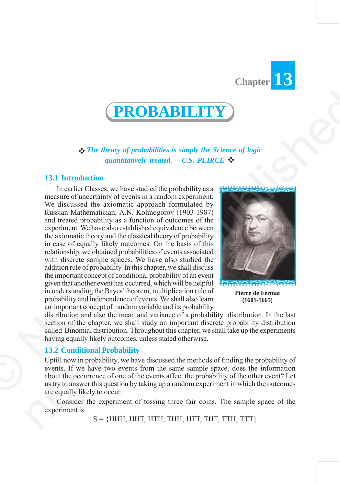

# **PROBABILITY**

*The theory of probabilities is simply the Science of logic quantitatively treated. – C.S. PEIRCE*

# **13.1 Introduction**

In earlier Classes, we have studied the probability as a measure of uncertainty of events in a random experiment. We discussed the axiomatic approach formulated by Russian Mathematician, A.N. Kolmogorov (1903-1987) and treated probability as a function of outcomes of the experiment. We have also established equivalence between the axiomatic theory and the classical theory of probability in case of equally likely outcomes. On the basis of this relationship, we obtained probabilities of events associated with discrete sample spaces. We have also studied the addition rule of probability. In this chapter, we shall discuss the important concept of conditional probability of an event given that another event has occurred, which will be helpful in understanding the Bayes' theorem, multiplication rule of probability and independence of events. We shall also learn an important concept of random variable and its probability and tractic probability as a function<br>experiment. We have also established experiment. We have also established e<br>the axiomatic theory and the classical ti<br>in case of equally likely outcomes. C<br>relationship, we obtained pr **CROBABILITY**<br>  $\bullet$  The thenry of probabilities is simply the Science of logic<br>
13.1 Introduction<br>
unantitatively treated.  $\sim$  CS. PERCE  $\bullet$ <br>
13.1 Introduction<br>
In earlier Classes, we have studied the probability as a<br>



**Pierre de Fermat (1601-1665)**

distribution and also the mean and variance of a probability distribution. In the last section of the chapter, we shall study an important discrete probability distribution called Binomial distribution. Throughout this chapter, we shall take up the experiments having equally likely outcomes, unless stated otherwise.

# **13.2 Conditional Probability**

Uptill now in probability, we have discussed the methods of finding the probability of events. If we have two events from the same sample space, does the information about the occurrence of one of the events affect the probability of the other event? Let us try to answer this question by taking up a random experiment in which the outcomes are equally likely to occur.

Consider the experiment of tossing three fair coins. The sample space of the experiment is

 $S = \{HHH, HHT, HTH, THH, HTT, THT, TTH, TTT\}$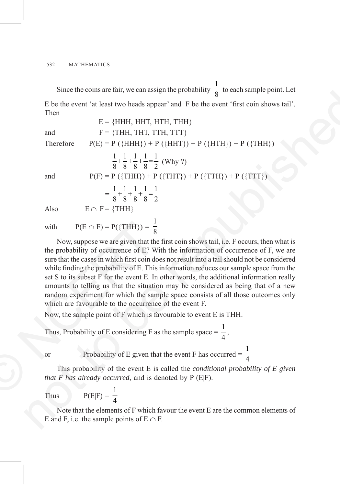Since the coins are fair, we can assign the probability 1  $\frac{1}{8}$  to each sample point. Let E be the event 'at least two heads appear' and F be the event 'first coin shows tail'. Then  $E = (HHH, HHT, HTH, THH)$ 

since he coins are tan, we can assign the probability 8 to each sample point. Let  
\nE be the event 'at least two heads appear' and F be the event 'first coin shows tail'.  
\nThen  
\n
$$
E = {HHH, HHT, TTH, TTH}
$$
  
\nand  $F = {THH, THT, TTH, TTT}$   
\nTherefore  
\n $P(E) = P({HHH}) + P({HHT}) + P({HTH}) + P({THTH})$   
\n $= \frac{1}{8} + \frac{1}{8} + \frac{1}{8} + \frac{1}{8} = \frac{1}{2}$  (Why ?)  
\nand  
\n $P(F) = P({THH}) + P({THTF}) + P({TTHF}) + P({TTTF})$   
\n $= \frac{1}{8} + \frac{1}{8} + \frac{1}{8} + \frac{1}{8} = \frac{1}{2}$   
\nAlso  
\n $E \cap F = {THH}$   
\nwith  
\n $P(E \cap F) = P({THH}) = \frac{1}{8}$   
\nNow, suppose we are given that the first coin shows tail, i.e. F occurs, then what is  
\nthe probability of occurrence of E? With the information of occurrence of F, we are  
\nsure that the cases in which first coin does not result into a tail should not be considered  
\nwhile finding the probability of E. This information reduces our sample space from the  
\nset S to its subset F for the event E. In other words, the additional information really  
\namounts to telling us that the situation may be considered as being that of a new  
\nrandom experiment for which the sample space consists of all those outcomes only  
\nwhich are favourable to the occurrence of the event F.  
\nNow, the sample point of F which is favourable to event E is THH.  
\nThus, Probability of E considered B is the sample space  $= \frac{1}{4}$ ,  
\nor  
\nProbability of E given that the event F has occurred  $= \frac{1}{4}$   
\nThis probability of the event E is called the *conditional probability of E given*  
\nthat F has already occurred, and is denoted by P (E|F).  
\nThus  
\n $P(E|F) = \frac{1}{4}$   
\nNote that the elements of F which favour the event E are the common elements of  
\nE and F, i.e. the sample points of E  $\cap$  F.

8

with  $P(E \cap F) = P({\text{THH}}) =$ 

Now, suppose we are given that the first coin shows tail, i.e. F occurs, then what is the probability of occurrence of E? With the information of occurrence of F, we are sure that the cases in which first coin does not result into a tail should not be considered while finding the probability of E. This information reduces our sample space from the set S to its subset F for the event E. In other words, the additional information really amounts to telling us that the situation may be considered as being that of a new random experiment for which the sample space consists of all those outcomes only which are favourable to the occurrence of the event F. with  $P(E \cap F) = P({THH}) = \frac{1}{8}$ <br>
Now, suppose we are given that the<br>
the probability of occurrence of E? W<br>
sure that the cases in which first coin de<br>
while finding the probability of E. This<br>
set S to its subset F for the e

Now, the sample point of F which is favourable to event E is THH.

Thus, Probability of E considering F as the sample space =  $\frac{1}{4}$ ,

or Probability of E given that the event F has occurred  $=$ 1 4

This probability of the event E is called the *conditional probability of E given that F has already occurred*, and is denoted by P (E|F).

Thus

$$
P(E|F) = \frac{1}{4}
$$

Note that the elements of F which favour the event E are the common elements of E and F, i.e. the sample points of  $E \cap F$ .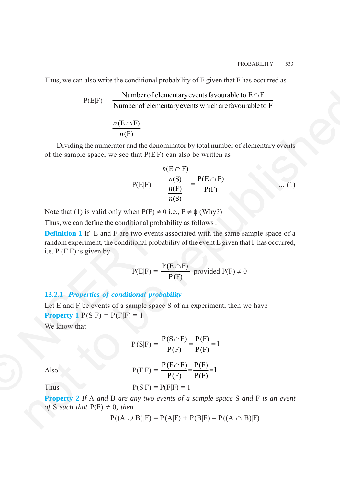Thus, we can also write the conditional probability of E given that F has occurred as

P(E|F) = 
$$
\frac{\text{Number of elementary events favourable to E \cap F}}{\text{Number of elementary events which are favourable to F}}
$$
  
\n=  $\frac{n(E \cap F)}{n(F)}$   
\nDividing the numerator and the denominator by total number of elementary events  
\nof the sample space, we see that P(E|F) can also be written as  
\n
$$
P(E|F) = \frac{\frac{n(E \cap F)}{n(S)}}{n(S)} = \frac{P(E \cap F)}{P(F)}
$$
 .... (1)  
\nNote that (1) is valid only when P(F) ≠ 0 i.e., F ≠ φ (Why?)  
\nThus, we can define the conditional probability as follows:  
\nDefinition 1 If E and F are two events associated with the same sample space of a  
\nrandom experiment, the conditional probability of the event E given that F has occurred,  
\ni.e. P (E|F) is given by  
\n
$$
P(E|F) = \frac{P(E \cap F)}{P(F)}
$$
 provided P(F) ≠ 0  
\n13.2.1 Properties of conditional probability  
\nLet E and F be events of a sample space S of an experiment, then we have  
\nProperty 1 P(S|F) = P(F|F) = 1  
\nWe know that  
\nP(S|F) =  $\frac{P(S \cap F)}{P(F)} = \frac{P(F)}{P(F)} = 1$   
\nAlso  
\n
$$
P(F|F) = \frac{P(F \cap F)}{P(F)} = \frac{P(F)}{P(F)} = 1
$$
  
\nThus  
\nP(S|F) = P(F|F) = 1  
\nProperty 2 If A and B are any two events of a sample space S and F is an event  
\nof S such that P(F) ≠ 0, then  
\nP((A ∪ B)F) = P(A|F) + P(B|F) - P((A ∩ B)|F)

Dividing the numerator and the denominator by total number of elementary events of the sample space, we see that  $P(E|F)$  can also be written as

$$
P(E|F) = \frac{\frac{n(E \cap F)}{n(S)}}{\frac{n(F)}{n(S)}} = \frac{P(E \cap F)}{P(F)}
$$
 ... (1)

Note that (1) is valid only when  $P(F) \neq 0$  i.e.,  $F \neq \phi$  (Why?)

Thus, we can define the conditional probability as follows :

**Definition 1** If E and F are two events associated with the same sample space of a random experiment, the conditional probability of the event E given that F has occurred, i.e.  $P(E|F)$  is given by Thus, we can define the conditional pro<br> **Definition 1** If E and F are two ever<br>
random experiment, the conditional pro<br>
i.e. P (E|F) is given by<br>  $P(E|F) =$ <br>
13.2.1 Properties of conditional pro<br>
Let E and F be events of a

$$
P(E|F) = \frac{P(E \cap F)}{P(F)}
$$
 provided  $P(F) \neq 0$ 

# **13.2.1** *Properties of conditional probability*

Thus  $P(S|F) = P(F|F) = 1$ 

Let E and F be events of a sample space S of an experiment, then we have **Property 1**  $P(S/F) = P(F/F) = 1$ 

We know that

$$
P(S|F) = \frac{P(S \cap F)}{P(F)} = \frac{P(F)}{P(F)} = 1
$$

Also 
$$
P(F|F) = \frac{P(F \cap F)}{P(F)} = \frac{P(F)}{P(F)} = 1
$$

**Property 2** *If* A *and* B *are any two events of a sample space* S *and* F *is an event of* S *such that* P(F) 
$$
\neq
$$
 0*, then*

$$
P((A \cup B)/F) = P(A|F) + P(B|F) - P((A \cap B)|F)
$$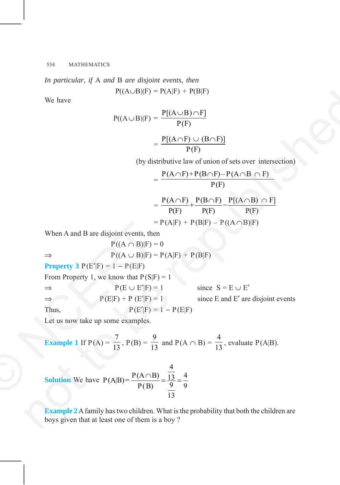*In particular*, *if* A *and* B *are disjoint events, then*

$$
P((A \cup B)|F) = P(A|F) + P(B|F)
$$

We have

$$
P((A \cup B)|F) = \frac{P[(A \cup B) \cap F]}{P(F)}
$$

$$
= \frac{P[(A \cap F) \cup (B \cap F)]}{P(F)}
$$

(by distributive law of union of sets over intersection)

We have  
\n
$$
P((A \cup B)|F) = P(A|F) + P(B|F)
$$
\n
$$
= \frac{P[(A \cap F) \cup (B \cap F)]}{P(F)}
$$
\n(by distributive law of union of sets over intersection)  
\n
$$
= \frac{P(A \cap F) + P(B \cap F) - P(A \cap B \cap F)}{P(F)}
$$
\n
$$
= \frac{P(A \cap F) + P(B \cap F) - P(A \cap B \cap F)}{P(F)}
$$
\n
$$
= \frac{P(A \cap F) + P(B \cap F) - P[(A \cap B) \cap F]}{P(F)}
$$
\nWhen A and B are disjoint events, then  
\n
$$
P((A \cap B)|F) = 0
$$
\n
$$
\Rightarrow P((A \cup B)|F) = 0
$$
\n
$$
\Rightarrow P((A \cup B)|F) = P(A|F) + P(B|F)
$$
\nFrom Property 3 P(E'|F) = 1 – P(E|F)  
\nFrom Property 4, we know that P(S|F) = 1 since S = E \cup E'  
\n
$$
\Rightarrow P(E|F) + P(E'|F) = 1 \qquad \text{since S = E \cup E'\nThus, P(E'|F) = 1 – P(E|F)\nLet us now take up some examples.\nExample 1 If P(A) =  $\frac{7}{13}$ , P(B) =  $\frac{9}{13}$  and P(A  $\cap$  B) =  $\frac{4}{13}$ , evaluate P(A|B).  
\nSolution We have P(A|B) =  $\frac{P(A \cap B)}{P(B)} = \frac{\frac{4}{13}}{\frac{13}{13}} = \frac{4}{9}$   
\nExample 2A family has two children. What is the probability that both the children are boys given that at least one of them is a boy ?
$$

When A and B are disjoint events, then

$$
P((A \cap B)|F) = 0
$$
  

$$
P((A \cup D)|F) = P(A|F) + P(B|F)
$$

$$
\Rightarrow \qquad P((A \cup B)|F) = P(A|F) + P(B|F)
$$

**Property 3**  $P(E'|F) = 1 - P(E|F)$ 

From Property 1, we know that  $P(S|F) = 1$ 

 $\Rightarrow$  P(E ∪ E'|F) = 1 since S = E ∪ E'  $\Rightarrow$  P(E|F) + P(E'|F) = 1 since E and E' are disjoint events Thus,  $P(E'|F) = 1 - P(E|F)$ When A and B are disjoint events, the<br>  $P((A \cap B)|F) =$ <br>  $\Rightarrow P((A \cup B)|F) =$ <br> **Property 3** P(E'|F) = 1 – P(E|F)<br>
From Property 1, we know that P(S|F<br>  $\Rightarrow P(E \cup E'|F) =$ <br>  $\Rightarrow P(E|F) + P(E'|F) =$ <br>
Thus,  $P(E'|F) =$ <br>
Let us now take up some example

Let us now take up some examples.

**Example 1** If 
$$
P(A) = \frac{7}{13}
$$
,  $P(B) = \frac{9}{13}$  and  $P(A \cap B) = \frac{4}{13}$ , evaluate  $P(A|B)$ .

**Solution** We have 
$$
P(A|B) = \frac{P(A \cap B)}{P(B)} = \frac{\frac{4}{13}}{\frac{9}{13}} = \frac{4}{9}
$$

**Example 2** A family has two children. What is the probability that both the children are boys given that at least one of them is a boy ?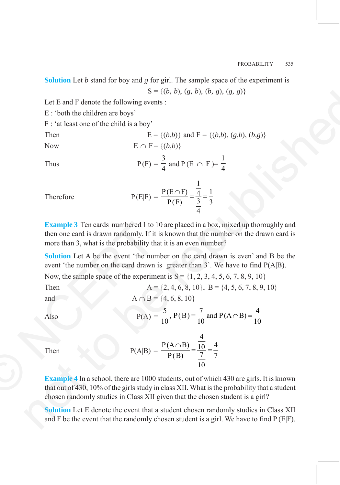**Solution** Let *b* stand for boy and *g* for girl. The sample space of the experiment is  

$$
S = \{(b, b), (g, b), (b, g), (g, g)\}
$$

Thus 
$$
P(F) = \frac{3}{4}
$$
 and  $P(E \cap F) = \frac{1}{4}$ 

Therefore 
$$
P(E|F) = \frac{P(E \cap F)}{P(F)} = \frac{\frac{1}{4}}{\frac{3}{4}} = \frac{1}{3}
$$

|                                           | $S = \{(b, b), (g, b), (b, g), (g, g)\}\$                                                                                                                                                                                                                                       |
|-------------------------------------------|---------------------------------------------------------------------------------------------------------------------------------------------------------------------------------------------------------------------------------------------------------------------------------|
| Let E and F denote the following events : |                                                                                                                                                                                                                                                                                 |
| E: 'both the children are boys'           |                                                                                                                                                                                                                                                                                 |
| F: 'at least one of the child is a boy'   |                                                                                                                                                                                                                                                                                 |
| Then                                      | $E = \{(b,b)\}\$ and $F = \{(b,b), (g,b), (b,g)\}\$                                                                                                                                                                                                                             |
| <b>Now</b>                                | $E \cap F = \{(b,b)\}\$                                                                                                                                                                                                                                                         |
| Thus                                      | $P(F) = \frac{3}{4}$ and $P(E \cap F) = \frac{1}{4}$                                                                                                                                                                                                                            |
| Therefore                                 | $P(E F) = \frac{P(E \cap F)}{P(F)} = \frac{\frac{1}{4}}{\frac{3}{4}} = \frac{1}{3}$                                                                                                                                                                                             |
|                                           | <b>Example 3</b> Ten cards numbered 1 to 10 are placed in a box, mixed up thoroughly and<br>then one card is drawn randomly. If it is known that the number on the drawn card is<br>more than 3, what is the probability that it is an even number?                             |
|                                           | <b>Solution</b> Let A be the event 'the number on the card drawn is even' and B be the<br>event 'the number on the card drawn is greater than $3'$ . We have to find $P(A B)$ .                                                                                                 |
|                                           | Now, the sample space of the experiment is $S = \{1, 2, 3, 4, 5, 6, 7, 8, 9, 10\}$                                                                                                                                                                                              |
| Then                                      | $A = \{2, 4, 6, 8, 10\}, B = \{4, 5, 6, 7, 8, 9, 10\}$                                                                                                                                                                                                                          |
| and                                       | $A \cap B = \{4, 6, 8, 10\}$                                                                                                                                                                                                                                                    |
| Also                                      | $P(A) = \frac{5}{10}$ , $P(B) = \frac{7}{10}$ and $P(A \cap B) = \frac{4}{10}$                                                                                                                                                                                                  |
| Then                                      | $P(A B) = {P(A \cap B) \over P(B)} = {4 \over 10} = {4 \over 7}$                                                                                                                                                                                                                |
|                                           | <b>Example 4</b> In a school, there are 1000 students, out of which 430 are girls. It is known<br>that out of 430, 10% of the girls study in class XII. What is the probability that a student<br>chosen randomly studies in Class XII given that the chosen student is a girl? |
|                                           | <b>Solution</b> Let E denote the event that a student chosen randomly studies in Class XII<br>and F be the event that the randomly chosen student is a girl. We have to find $P(E F)$ .                                                                                         |
|                                           |                                                                                                                                                                                                                                                                                 |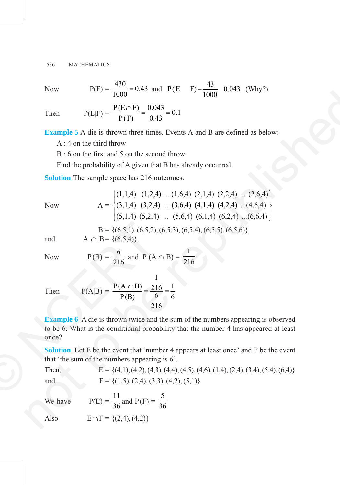Now 
$$
P(F) = \frac{430}{1000} = 0.43
$$
 and  $P(E F) = \frac{43}{1000} \quad 0.043$  (Why?)

Now 
$$
A = \begin{cases} (1,1,4) & (1,2,4) \dots (1,6,4) & (2,1,4) \ (2,2,4) \dots (2,6,4) \\ (3,1,4) & (3,2,4) \dots (3,6,4) & (4,1,4) \ (4,2,4) \dots (4,6,4) \\ (5,1,4) & (5,2,4) \dots (5,6,4) & (6,1,4) \ (6,2,4) \dots (6,6,4) \end{cases}
$$

Now 
$$
P(B) = \frac{6}{216}
$$
 and  $P(A \cap B) = \frac{1}{216}$ 

$$
A|B) = \frac{P(A \cap B)}{P(B)} = \frac{\frac{1}{216}}{\frac{6}{216}} = \frac{1}{6}
$$

| 1(1)<br>$\overline{0.15}$ and $\overline{1}$ ( $\overline{1}$ $\overline{1}$ )<br>1000                                                                                                                                                                    |
|-----------------------------------------------------------------------------------------------------------------------------------------------------------------------------------------------------------------------------------------------------------|
| $P(E F) = {P(E \cap F) \over P(F)} = {0.043 \over 0.43} = 0.1$<br>Then                                                                                                                                                                                    |
| <b>Example 5</b> A die is thrown three times. Events A and B are defined as below:<br>$A: 4$ on the third throw<br>B: 6 on the first and 5 on the second throw<br>Find the probability of A given that B has already occurred.                            |
| <b>Solution</b> The sample space has 216 outcomes.                                                                                                                                                                                                        |
| A = $\begin{cases} (1,1,4) & (1,2,4) \dots (1,6,4) & (2,1,4) \ (2,2,4) \dots (2,6,4) \\ (3,1,4) & (3,2,4) \dots (3,6,4) & (4,1,4) \ (4,2,4) \dots (4,6,4) \\ (5,1,4) & (5,2,4) \dots (5,6,4) & (6,1,4) \ (6,2,4) \dots (6,6,4) \end{cases}$<br><b>Now</b> |
| B = { $(6,5,1)$ , $(6,5,2)$ , $(6,5,3)$ , $(6,5,4)$ , $(6,5,5)$ , $(6,5,6)$ }<br>$A \cap B = \{(6,5,4)\}.$<br>and                                                                                                                                         |
| $P(B) = \frac{6}{216}$ and $P(A \cap B) = \frac{1}{216}$<br><b>Now</b>                                                                                                                                                                                    |
| $P(A B) = {P(A \cap B) \over P(B)} = {1 \over 216} = {1 \over 6}$<br>Then                                                                                                                                                                                 |
| <b>Example 6</b> A die is thrown twice and the sum of the numbers appearing is observed<br>to be 6. What is the conditional probability that the number 4 has appeared at least<br>once?                                                                  |
| <b>Solution</b> Let E be the event that 'number 4 appears at least once' and F be the event<br>that 'the sum of the numbers appearing is 6'.                                                                                                              |
| $E = \{(4,1), (4,2), (4,3), (4,4), (4,5), (4,6), (1,4), (2,4), (3,4), (5,4), (6,4)\}\$<br>Then,<br>$F = \{(1,5), (2,4), (3,3), (4,2), (5,1)\}\$<br>and                                                                                                    |
| $P(E) = \frac{11}{36}$ and $P(F) = \frac{5}{36}$<br>We have                                                                                                                                                                                               |
| $E \cap F = \{(2,4), (4,2)\}\$<br>Also                                                                                                                                                                                                                    |
|                                                                                                                                                                                                                                                           |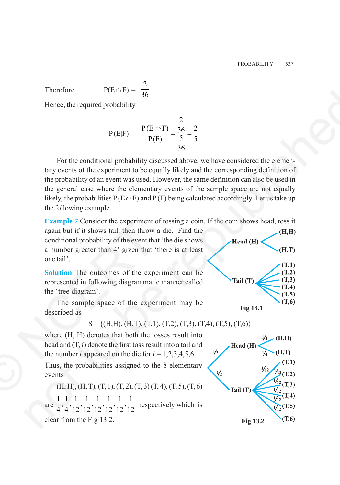Therefore 
$$
P(E \cap F) = \frac{2}{36}
$$

Hence, the required probability

$$
P(E|F) = \frac{P(E \cap F)}{P(F)} = \frac{\frac{2}{36}}{\frac{5}{36}} = \frac{2}{5}
$$

For the conditional probability discussed above, we have considered the elementary events of the experiment to be equally likely and the corresponding definition of the probability of an event was used. However, the same definition can also be used in the general case where the elementary events of the sample space are not equally likely, the probabilities  $P(E \cap F)$  and  $P(F)$  being calculated accordingly. Let us take up the following example. Finencine<br>
Hence, the required probability  $P(E|F) = \frac{P(F_1 \cap F)}{P(F)} = \frac{26}{35} = \frac{2}{5}$ <br>
For the considered probability dissussed above, we have considered the elementary<br>
to be republished probability dissussed above, we ha

**Example 7** Consider the experiment of tossing a coin. If the coin shows head, toss it

again but if it shows tail, then throw a die. Find the conditional probability of the event that 'the die shows a number greater than 4' given that 'there is at least one tail'. **Example** 7 Consider the experiment c<br>again but if it shows tail, then throw<br>conditional probability of the event tha<br>a number greater than 4' given that<br>one tail'.<br>**Solution** The outcomes of the experiment<br>represented in

**Solution** The outcomes of the experiment can be represented in following diagrammatic manner called the 'tree diagram'.

The sample space of the experiment may be described as

$$
S = \{ (H,H), (H,T), (T,1), (T,2), (T,3), (T,4), (T,5), (T,6) \}
$$

where (H, H) denotes that both the tosses result into head and (T, *i*) denote the first toss result into a tail and the number *i* appeared on the die for  $i = 1,2,3,4,5,6$ .

Thus, the probabilities assigned to the 8 elementary events

$$
(H, H), (H, T), (T, 1), (T, 2), (T, 3), (T, 4), (T, 5), (T, 6)
$$

are  $\frac{1}{4}$ ,  $\frac{1}{4}$ ,  $\frac{1}{12}$ ,  $\frac{1}{12}$ ,  $\frac{1}{12}$ ,  $\frac{1}{12}$ ,  $\frac{1}{12}$ ,  $\frac{1}{12}$  $\frac{1}{4}$ ,  $\frac{1}{4}$ ,  $\frac{1}{12}$ ,  $\frac{1}{12}$ ,  $\frac{1}{12}$ ,  $\frac{1}{12}$ ,  $\frac{1}{12}$  respectively which is clear from the Fig 13.2.



**Fig 13.1**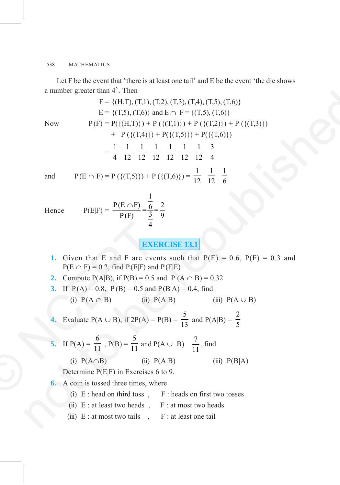Let F be the event that 'there is at least one tail' and E be the event 'the die shows a number greater than 4'. Then

a number greater than 4 . Then  
\n
$$
F = \{(H, T), (T, 1), (T, 2), (T, 3), (T, 4), (T, 5), (T, 6)\}
$$
  
\n $E = \{(T, 5), (T, 6)\}$  and  $E \cap F = \{(T, 5), (T, 6)\}$   
\nNow  
\n $P(F) = P(\{(H, T)\}) + P(\{(T, 1)\}) + P(\{(T, 2)\}) + P(\{(T, 3)\})$   
\n $+ P(\{(T, 4)\}) + P(\{(T, 5)\}) + P(\{(T, 6)\})$   
\n $= \frac{1}{4} - \frac{1}{12} - \frac{1}{12} - \frac{1}{12} - \frac{1}{12} - \frac{1}{12} - \frac{1}{12} - \frac{1}{6}$   
\nand  
\n $P(E \cap F) = P(\{(T, 5)\}) + P(\{(T, 6)\}) = \frac{1}{12} - \frac{1}{12} - \frac{1}{6}$   
\nHence  
\n $P(E|F) = \frac{P(E \cap F)}{P(F)} = \frac{\frac{1}{6}}{\frac{3}{4}} = \frac{2}{9}$   
\n**EXERCISE 13.1**  
\n1. Given that E and F are events such that  $P(E) = 0.6$ ,  $P(F) = 0.3$  and  
\n $P(E \cap F) = 0.2$ , find  $P(E|F)$  and  $P(E|E)$   
\n2. Compute  $P(A|B)$ , if  $P(B) = 0.5$  and  $P(A \cap B) = 0.32$   
\n3. If  $P(A) = 0.8$ ,  $P(B) = 0.5$  and  $P(B|A) = 0.4$ , find  
\n(i)  $P(A \cap B)$  (ii)  $P(A|B)$  (iii)  $P(A \cup B)$   
\n4. Evaluate  $P(A \cup B)$ , if  $2P(A) = P(B) = \frac{5}{13}$  and  $P(A|B) = \frac{2}{5}$   
\n5. If  $P(A) = \frac{6}{11}$ ,  $P(B) = \frac{5}{11}$  and  $P(A \cup B) = \frac{7}{11}$ , find  
\n(i)  $P(A \cap B)$  (ii)  $P(A$ 

Hence  $P(E)$ 

$$
E[F] = \frac{P(E \cap F)}{P(F)} = \frac{\frac{1}{6}}{\frac{3}{4}} = \frac{2}{9}
$$

# **EXERCISE 13.1**

- **1.** Given that E and F are events such that  $P(E) = 0.6$ ,  $P(F) = 0.3$  and  $P(E \cap F) = 0.2$ , find  $P(E|F)$  and  $P(F|E)$
- **2.** Compute P(A|B), if P(B) = 0.5 and P (A ∩ B) = 0.32

3. If 
$$
P(A) = 0.8
$$
,  $P(B) = 0.5$  and  $P(B|A) = 0.4$ , find  
\n(i)  $P(A \cap B)$  (ii)  $P(A|B)$  (iii)  $P(A \cup B)$ 

4. Evaluate P(A 
$$
\cup
$$
 B), if 2P(A) = P(B) =  $\frac{5}{13}$  and P(A|B) =  $\frac{2}{5}$ 

\n- \n**1.** Given that E and F are events such that P(E) = 0.6, P\n 
$$
P(E \cap F) = 0.2
$$
, find P(E|F) and P(F|E)\n
\n- \n**2.** Compute P(A|B), if P(B) = 0.5 and P(A ∩ B) = 0.32\n
\n- \n**3.** If P(A) = 0.8, P(B) = 0.5 and P(B|A) = 0.4, find\n
	\n- (i) P(A ∩ B)
	\n- (ii) P(A|B)
	\n- (iii) P(A ∪ B)
	\n\n
\n- \n**4.** Evaluate P(A ∪ B), if 2P(A) = P(B) =  $\frac{5}{13}$  and P(A|B) =  $\frac{2}{5}$ \n
\n- \n**5.** If P(A) =  $\frac{6}{11}$ , P(B) =  $\frac{5}{11}$  and P(A ∪ B)  $\frac{7}{11}$ , find\n
	\n- (i) P(A ∩ B)
	\n- (ii) P(A|B)
	\n- (iii) P(B|A)
	\n\n
\n- \n**6.** A coin is tossed three times, where\n
	\n- (i) E: head on third toss, F: heads on first two tosses
	\n\n
\n

Determine P(E|F) in Exercises 6 to 9.

**6.** A coin is tossed three times, where

- (i)  $E$  : head on third toss,  $F$  : heads on first two tosses
- (ii)  $E :$  at least two heads,  $F :$  at most two heads
- (iii)  $E : at most two tails$ ,  $F : at least one tail$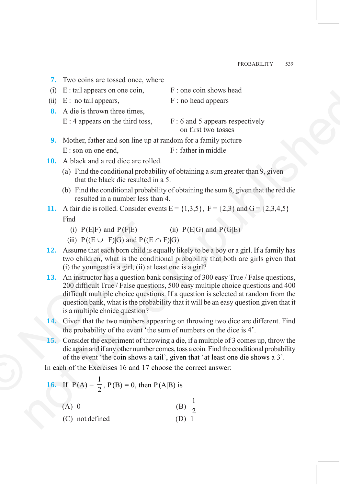- **7.** Two coins are tossed once, where
- (i)  $E$  : tail appears on one coin,  $F$  : one coin shows head
- (ii)  $E$  : no tail appears,  $F$  : no head appears
- **8.** A die is thrown three times,
- 
- $E: 4$  appears on the third toss,  $F: 6$  and 5 appears respectively on first two tosses
- **9.** Mother, father and son line up at random for a family picture E : son on one end, F : father in middle
- **10.** A black and a red dice are rolled.
	- (a) Find the conditional probability of obtaining a sum greater than 9, given that the black die resulted in a 5.
	- (b) Find the conditional probability of obtaining the sum 8, given that the red die resulted in a number less than 4.
- **11.** A fair die is rolled. Consider events  $E = \{1,3,5\}$ ,  $F = \{2,3\}$  and  $G = \{2,3,4,5\}$ **Find** 
	- (i)  $P(E|F)$  and  $P(F|E)$  (ii)  $P(E|G)$  and  $P(G|E)$
	- (iii)  $P((E \cup F)|G)$  and  $P((E \cap F)|G)$
- **12.** Assume that each born child is equally likely to be a boy or a girl. If a family has two children, what is the conditional probability that both are girls given that (i) the youngest is a girl, (ii) at least one is a girl?
- **13.** An instructor has a question bank consisting of 300 easy True / False questions, 200 difficult True / False questions, 500 easy multiple choice questions and 400 difficult multiple choice questions. If a question is selected at random from the question bank, what is the probability that it will be an easy question given that it is a multiple choice question? (i) P(E|F) and P(F|E)<br>
(iii) P((E  $\cup$  F)|G) and P((E  $\cup$ <br>
12. Assume that each born child is e<br>
two children, what is the condition<br>
(i) the youngest is a girl, (ii) at lot<br>
13. An instructor has a question ban<br>
200 dif o E : an appears on one cont,<br>
F : one beliable shown three times,<br>
f : in b head appears<br>
8. A die is htrown three times,<br>
F : fo and S uppears respectively<br>
F : δ and S uppears respectively<br>
F : δ and S uppears respect
	- **14.** Given that the two numbers appearing on throwing two dice are different. Find the probability of the event 'the sum of numbers on the dice is 4'.
	- **15.** Consider the experiment of throwing a die, if a multiple of 3 comes up, throw the die again and if any other number comes, toss a coin. Find the conditional probability of the event 'the coin shows a tail', given that 'at least one die shows a 3'.

In each of the Exercises 16 and 17 choose the correct answer:

**16.** If 
$$
P(A) = \frac{1}{2}
$$
,  $P(B) = 0$ , then  $P(A|B)$  is  
\n(A) 0\n(B)  $\frac{1}{2}$   
\n(C) not defined\n(D) 1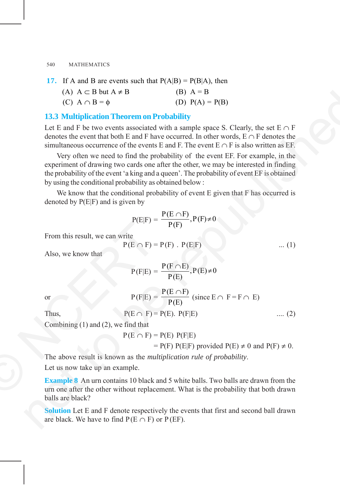- **17.** If A and B are events such that  $P(A|B) = P(B|A)$ , then
	- (A)  $A \subset B$  but  $A \neq B$  (B)  $A = B$ (C)  $A \cap B = \emptyset$  (D)  $P(A) = P(B)$

# **13.3 Multiplication Theorem on Probability**

Let E and F be two events associated with a sample space S. Clearly, the set  $E \cap F$ denotes the event that both E and F have occurred. In other words,  $E \cap F$  denotes the simultaneous occurrence of the events E and F. The event  $E \cap F$  is also written as EF.

Very often we need to find the probability of the event EF. For example, in the experiment of drawing two cards one after the other, we may be interested in finding the probability of the event 'a king and a queen'. The probability of event EF is obtained by using the conditional probability as obtained below : (A) A  $\simeq$  B but A  $\neq$  H (B) A  $\simeq$  H (B)  $P(A) = P(B)$ <br>
13.3 Multiplication Theorem on Probability<br>
Let E and F he two events associated with a sample space S. Clearly, the set E  $\cap$  F<br>
denotes the event that both is an

We know that the conditional probability of event E given that F has occurred is denoted by  $P(E|F)$  and is given by

$$
P(E|F) = \frac{P(E \cap F)}{P(F)}, P(F) \neq 0
$$

From this result, we can write

$$
P(E \cap F) = P(F) \cdot P(E|F) \qquad \dots (1)
$$

Also, we know that

$$
P(F|E) = \frac{P(F \cap E)}{P(E)}, P(E) \neq 0
$$

or 
$$
P(F|E) = \frac{P(E \cap F)}{P(E)}
$$
 (since  $E \cap F = F \cap E$ )

Thus,  $P(E \cap F) = P(E)$ .  $P(F|E)$  .... (2)

Combining (1) and (2), we find that

$$
P(E \cap F) = P(E) P(F|E)
$$

 $= P(F) P(E|F)$  provided  $P(E) \neq 0$  and  $P(F) \neq 0$ .

The above result is known as the *multiplication rule of probability*.

Let us now take up an example.

**Example 8** An urn contains 10 black and 5 white balls. Two balls are drawn from the urn one after the other without replacement. What is the probability that both drawn balls are black? From this result, we can write<br>  $P(E \cap F) =$ <br>
Also, we know that<br>  $P(F|E) =$ <br>
or<br>  $P(F|E) =$ <br>
Thus,  $P(E \cap F) =$ <br>
Combining (1) and (2), we find that<br>  $P(E \cap F) =$ <br>  $=$ <br>
The above result is known as the *mu*<br>
Let us now take up an exa

> **Solution** Let E and F denote respectively the events that first and second ball drawn are black. We have to find  $P(E \cap F)$  or  $P(EF)$ .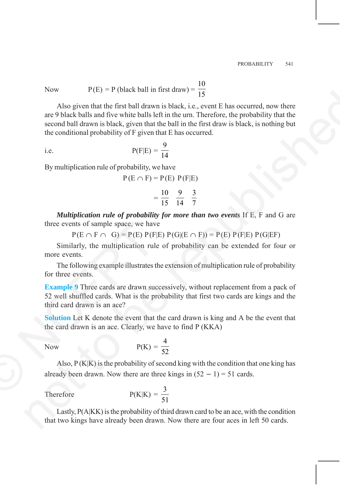Now  $P(E) = P$  (black ball in first draw) = 10 15

Also given that the first ball drawn is black, i.e., event E has occurred, now there are 9 black balls and five white balls left in the urn. Therefore, the probability that the second ball drawn is black, given that the ball in the first draw is black, is nothing but the conditional probability of F given that E has occurred. Note that the rest of state of the relation in the term of the republished state of the second and the second behind but the second bull draw is black, i.e., event F has occurred, are second bull drawn is black, eiver but

i.e. 
$$
P(F|E) = \frac{9}{14}
$$

By multiplication rule of probability, we have

$$
P(E \cap F) = P(E) P(F|E)
$$
  
=  $\frac{10}{15} \frac{9}{14} \frac{3}{7}$ 

*Multiplication rule of probability for more than two events* If E, F and G are three events of sample space, we have

 $P(E \cap F \cap G) = P(E) P(F|E) P(G|(E \cap F)) = P(E) P(F|E) P(G|EF)$ 

Similarly, the multiplication rule of probability can be extended for four or more events.

The following example illustrates the extension of multiplication rule of probability for three events.

**Example 9** Three cards are drawn successively, without replacement from a pack of 52 well shuffled cards. What is the probability that first two cards are kings and the third card drawn is an ace? three events of sample space, we hav<br>  $P(E \cap F \cap G) = P(E) P(F$ <br>
Similarly, the multiplication rule<br>
more events.<br>
The following example illustrates t<br>
for three events.<br> **Example 9** Three cards are drawn suc<br>
52 well shuffled ca

**Solution** Let K denote the event that the card drawn is king and A be the event that the card drawn is an ace. Clearly, we have to find P (KKA)

Now 
$$
P(K) = \frac{4}{52}
$$

Also,  $P(K|K)$  is the probability of second king with the condition that one king has already been drawn. Now there are three kings in  $(52 - 1) = 51$  cards.

Therefore 
$$
P(K|K) = \frac{3}{51}
$$

Lastly, P(A|KK) is the probability of third drawn card to be an ace, with the condition that two kings have already been drawn. Now there are four aces in left 50 cards.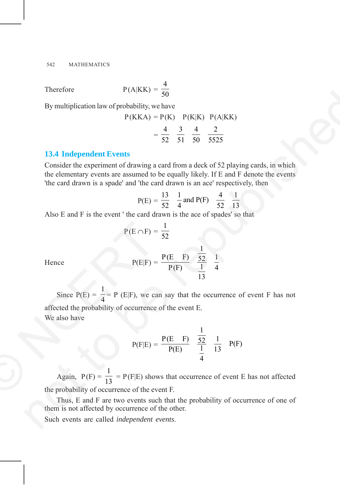Therefore 
$$
P(A|KK) = \frac{4}{50}
$$

By multiplication law of probability, we have

$$
P(KKA) = P(K) \quad P(K|K) \quad P(A|KK)
$$

$$
= \frac{4}{52} \quad \frac{3}{51} \quad \frac{4}{50} \quad \frac{2}{5525}
$$

#### **13.4 Independent Events**

Consider the experiment of drawing a card from a deck of 52 playing cards, in which the elementary events are assumed to be equally likely. If E and F denote the events 'the card drawn is a spade' and 'the card drawn is an ace' respectively, then

$$
P(E) = \frac{13}{52} - \frac{1}{4}
$$
 and  $P(F) = \frac{4}{52} - \frac{1}{13}$ 

Also E and F is the event ' the card drawn is the ace of spades' so that

$$
P(E \cap F) = \frac{1}{52}
$$
  
 
$$
P(E|F) = \frac{P(E \cap F)}{P(F)} = \frac{\frac{1}{52}}{\frac{1}{13}} = \frac{1}{4}
$$

Hence

Since  $P(E) =$ 1  $\frac{1}{4}$  = P (E|F), we can say that the occurrence of event F has not affected the probability of occurrence of the event E. P(E/F) =<br>
Hence  $P(E) = \frac{1}{4} = P(E|F)$ , we can<br>
diffected the probability of occurrence<br>
We also have<br>  $P(F|E) = \frac{P(F|E)}{P(F|E)}$ <br>
Again,  $P(F) = \frac{1}{13} = P(F|E)$  show<br>
the probability of occurrence of the ev Entertaine Intertainment of transform of the republished with the probability of occurrence of the entertainment of the republished of  $P(E|K) = P(K|K)$  P(K|KK)  $= \frac{4}{52} - \frac{3}{51} - \frac{4}{50} - \frac{2}{525}$ <br>
1.3.4 Independent Event

We also have

$$
P(F|E) = \frac{P(E - F)}{P(E)} = \frac{\frac{1}{52}}{\frac{1}{4}} = \frac{1}{13}
$$
  $P(F)$ 

Again,  $P(F) =$ 1  $\frac{1}{13}$  = P(F|E) shows that occurrence of event E has not affected the probability of occurrence of the event F.

Thus, E and F are two events such that the probability of occurrence of one of them is not affected by occurrence of the other.

Such events are called *independent events*.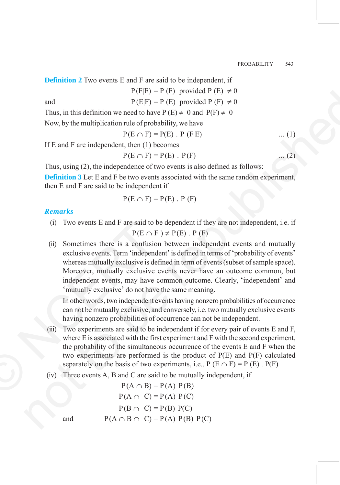**Definition 2** Two events E and F are said to be independent, if

$$
P(F|E) = P(F) \text{ provided } P(E) \neq 0
$$

and  $P(E|F) = P(E)$  provided  $P(F) \neq 0$ 

Thus, in this definition we need to have  $P(E) \neq 0$  and  $P(F) \neq 0$ 

Now, by the multiplication rule of probability, we have

$$
P(E \cap F) = P(E) . P (F|E)
$$
 ... (1)

If E and F are independent, then (1) becomes

$$
P(E \cap F) = P(E) \cdot P(F) \tag{2}
$$

Thus, using (2), the independence of two events is also defined as follows:

**Definition 3** Let E and F be two events associated with the same random experiment, then E and F are said to be independent if

$$
P(E \cap F) = P(E) . P(F)
$$

# *Remarks*

- (i) Two events E and F are said to be dependent if they are not independent, i.e. if  $P(E \cap F) \neq P(E)$ .  $P(F)$
- (ii) Sometimes there is a confusion between independent events and mutually exclusive events. Term 'independent' is defined in terms of 'probability of events' whereas mutually exclusive is defined in term of events (subset of sample space). Moreover, mutually exclusive events never have an outcome common, but independent events, may have common outcome. Clearly, 'independent' and 'mutually exclusive' do not have the same meaning. (1) Two events E and F are said to 1<br>
P(E  $\cap$  F<br>
(ii) Sometimes there is a confusion<br>
exclusive events. Term 'independ<br>
whereas mutually exclusive is de<br>
Moreover, mutually exclusive<br>
independent events, may have<br>
'mutua and<br>
and<br>  $P(E|F) = P(E)$  provided  $P(E) \neq 0$ <br>
Thus, in this definition we need to have  $P(E|F) \neq 0$ <br>
Thus, in this definition we have obtained that<br>  $P(E \cap F) = P(E)$ .  $P$  ( $E|F \neq 0$ <br>
Now, by the multiplication we define the  $P(E$

In other words, two independent events having nonzero probabilities of occurrence can not be mutually exclusive, and conversely, i.e. two mutually exclusive events having nonzero probabilities of occurrence can not be independent.

- Two experiments are said to be independent if for every pair of events  $E$  and  $F$ , where E is associated with the first experiment and F with the second experiment, the probability of the simultaneous occurrence of the events E and F when the two experiments are performed is the product of P(E) and P(F) calculated separately on the basis of two experiments, i.e.,  $P(E \cap F) = P(E)$ .  $P(F)$
- (iv) Three events A, B and C are said to be mutually independent, if

$$
P(A \cap B) = P(A) P(B)
$$
  
\n
$$
P(A \cap C) = P(A) P(C)
$$
  
\n
$$
P(B \cap C) = P(B) P(C)
$$
  
\nand  
\n
$$
P(A \cap B \cap C) = P(A) P(B) P(C)
$$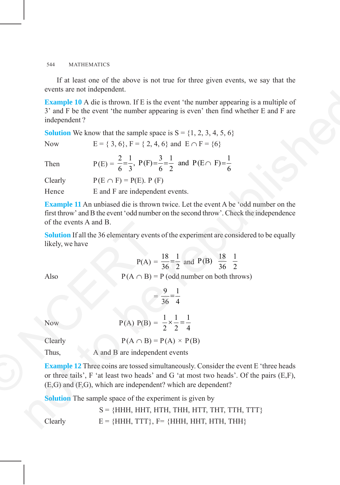If at least one of the above is not true for three given events, we say that the events are not independent.

**Example 10** A die is thrown. If E is the event 'the number appearing is a multiple of 3' and F be the event 'the number appearing is even' then find whether E and F are independent ?

**Solution** We know that the sample space is  $S = \{1, 2, 3, 4, 5, 6\}$ Now  $E = \{ 3, 6 \}$ ,  $F = \{ 2, 4, 6 \}$  and  $E \cap F = \{ 6 \}$ 

Then  $P(E) = \frac{2}{6} = \frac{1}{3}$ ,  $P(F) = \frac{3}{6} = \frac{1}{2}$  and  $P(E \cap F) = \frac{1}{6}$ 

Clearly  $P(E \cap F) = P(E)$ . P (F)

Hence E and F are independent events.

**Example 11** An unbiased die is thrown twice. Let the event A be 'odd number on the first throw' and B the event 'odd number on the second throw'. Check the independence of the events A and B.

**Solution** If all the 36 elementary events of the experiment are considered to be equally likely, we have

$$
P(A) = \frac{18}{36} = \frac{1}{2} \text{ and } P(B) \frac{18}{36} = \frac{1}{2}
$$
  
Also  

$$
P(A \cap B) = P \text{ (odd number on both throws)}
$$

$$
=\frac{9}{36}=\frac{1}{4}
$$

Now

$$
P(A) P(B) = \frac{1}{2} \times \frac{1}{2} = \frac{1}{4}
$$

Clearly  $P(A \cap B) = P(A) \times P(B)$ 

Thus, A and B are independent events

**Example 12** Three coins are tossed simultaneously. Consider the event E 'three heads' or three tails', F 'at least two heads' and G 'at most two heads'. Of the pairs (E,F), (E,G) and (F,G), which are independent? which are dependent? of the events A and B.<br>
Solution If all the 36 elementary event<br>
likely, we have<br>  $P(A) =$ <br>
Also<br>  $P(A \cap B) =$ <br>  $=$ <br>
Now<br>  $P(A) P(B) =$ <br>
Clearly<br>  $P(A \cap B) =$ <br>
Thus,<br>
A and B are independence<br>
Example 12 Three coins are tossed sir<br>
o **Example 10. A** die is thrown If Fi is the event 'the number appearing is a multiple of<br> **3'** and F' be event 'the number appearing is event 'then find whether F. and F' are<br>
independent?<br> **3** Solution We know that the sa

**Solution** The sample space of the experiment is given by

 $S = \{HHH, HHT, HTH, THH, HTT, THT, TTH, TTT\}$ Clearly  $E = \{HHH, TTT\}$ ,  $F = \{HHH, HHT, HTH, THH\}$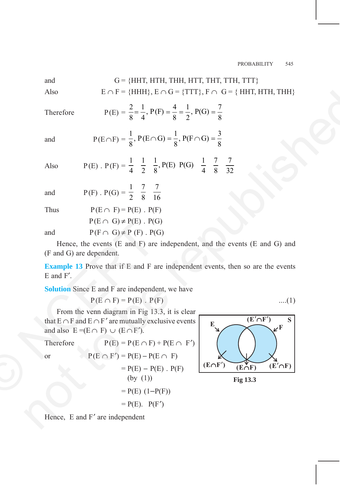and 
$$
G = \{HHT, HTH, THH, HTT, THT, TTH, TTT\}
$$
  
Also  $E \cap F = \{HHH\}, E \cap G = \{TTT\}, F \cap G = \{HHT, HTH, THH\}$ 

Therefore  $\frac{2}{8} = \frac{1}{4}$ , P(F) =  $\frac{4}{8} = \frac{1}{2}$ , P(G) =  $\frac{7}{8}$ 

and

$$
P(E \cap F) = \frac{1}{8}
$$
,  $P(E \cap G) = \frac{1}{8}$ ,  $P(F \cap G) = \frac{3}{8}$ 

Also 
$$
P(E) \cdot P(F) = \frac{1}{4} - \frac{1}{2} - \frac{1}{8}
$$
,  $P(E) \cdot P(G) = \frac{1}{4} - \frac{7}{8} - \frac{7}{32}$ 

and 
$$
P(F) \cdot P(G) = \frac{1}{2} \cdot \frac{7}{8} \cdot \frac{7}{16}
$$

Thus 
$$
P(E \cap F) = P(E) \cdot P(F)
$$
  
\n $P(E \cap G) \neq P(E) \cdot P(G)$   
\nand  $P(F \cap G) \neq P(F) \cdot P(G)$ 

Hence, the events (E and F) are independent, and the events (E and G) and (F and G) are dependent.

**Example 13** Prove that if E and F are independent events, then so are the events E and F′.

**Solution** Since E and F are independent, we have

$$
P(E \cap F) = P(E) \cdot P(F) \tag{1}
$$

From the venn diagram in Fig 13.3, it is clear that  $E \cap F$  and  $E \cap F'$  are mutually exclusive events and also  $E = (E \cap F) \cup (E \cap F')$ .





Hence, E and F' are independent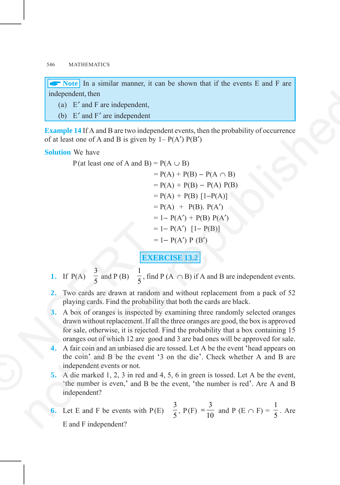**The In a similar manner, it can be shown that if the events E and F are** independent, then

- (a) E′ and F are independent,
- (b) E′ and F′ are independent

**Example 14** If A and B are two independent events, then the probability of occurrence of at least one of A and B is given by  $1 - P(A') P(B')$ 

**Solution** We have

P(at least one of A and B) =  $P(A \cup B)$  $= P(A) + P(B) - P(A \cap B)$  $= P(A) + P(B) - P(A) P(B)$  $= P(A) + P(B) [1-P(A)]$  $= P(A) + P(B)$ .  $P(A')$  $= 1 - P(A') + P(B) P(A')$  $= 1 - P(A')$  [1–  $P(B)$ ]  $= 1 - P(A') P(B')$ independent),<br>
(a) F' and F are independent<br>
(b) fix and F are independent<br>
Example 14 If A and B in extreme increment events, then the probability of occurrence<br>
of at least one of A and B is given by 1- P(A) P(B)<br>
Solut

**EXERCISE 13.2**

**1.** If P(A) 3  $\frac{1}{5}$  and P(B) 1  $\frac{1}{5}$ , find P (A  $\cap$  B) if A and B are independent events.

- **2.** Two cards are drawn at random and without replacement from a pack of 52 playing cards. Find the probability that both the cards are black.
- **3.** A box of oranges is inspected by examining three randomly selected oranges drawn without replacement. If all the three oranges are good, the box is approved for sale, otherwise, it is rejected. Find the probability that a box containing 15 oranges out of which 12 are good and 3 are bad ones will be approved for sale. **EXE**<br>
1. If P(A)  $\frac{3}{5}$  and P(B)  $\frac{1}{5}$ , find<br>
2. Two cards are drawn at random<br>
playing cards. Find the probabil<br>
3. A box of oranges is inspected b<br>
drawn without replacement. If all<br>
for sale, otherwise, it is r
	- **4.** A fair coin and an unbiased die are tossed. Let A be the event 'head appears on the coin' and B be the event '3 on the die'. Check whether A and B are independent events or not.
	- **5.** A die marked 1, 2, 3 in red and 4, 5, 6 in green is tossed. Let A be the event, 'the number is even,' and B be the event, 'the number is red'. Are A and B independent?

6. Let E and F be events with P(E) 
$$
\frac{3}{5}
$$
, P(F) =  $\frac{3}{10}$  and P (E  $\cap$  F) =  $\frac{1}{5}$ . Are E and F independent?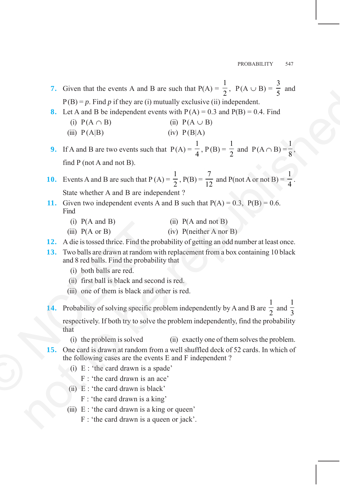**7.** Given that the events A and B are such that  $P(A) =$ 1  $\frac{1}{2}$ , P(A  $\cup$  B) = 3  $\frac{5}{5}$  and  $P(B) = p$ . Find *p* if they are (i) mutually exclusive (ii) independent.

**8.** Let A and B be independent events with  $P(A) = 0.3$  and  $P(B) = 0.4$ . Find

(i) 
$$
P(A \cap B)
$$
 (ii)  $P(A \cup B)$ 

$$
(iii) P(A|B) \t\t (iv) P(B|A)
$$

**9.** If A and B are two events such that  $P(A) =$ 1  $\frac{1}{4}$ , P(B) = 1  $\frac{1}{2}$  and P(A ∩ B) = 1  $\frac{1}{8}$ , find P (not A and not B).

**10.** Events A and B are such that  $P(A) =$ 1  $\frac{1}{2}$ , P(B) = 7  $\frac{1}{12}$  and P(not A or not B) = 1  $\frac{1}{4}$ . State whether A and B are independent ?

- **11.** Given two independent events A and B such that  $P(A) = 0.3$ ,  $P(B) = 0.6$ . Find
	- (i)  $P(A \text{ and } B)$  (ii)  $P(A \text{ and not } B)$
	- (iii)  $P(A \text{ or } B)$  (iv)  $P(\text{neither } A \text{ nor } B)$
- **12.** A die is tossed thrice. Find the probability of getting an odd number at least once.
- **13.** Two balls are drawn at random with replacement from a box containing 10 black and 8 red balls. Find the probability that
	- (i) both balls are red.
	- (ii) first ball is black and second is red.
	- (iii) one of them is black and other is red.
- **14.** Probability of solving specific problem independently by A and B are 1  $\frac{1}{2}$  and 1 3 respectively. If both try to solve the problem independently, find the probability that (1)  $P(A \text{ and } B)$ <br>
(ii)  $P(A \text{ or } B)$ <br>
12. A die is tossed thrice. Find the pr<br>
13. Two balls are drawn at random w<br>
and 8 red balls. Find the probabi<br>
(i) both balls are red.<br>
(ii) first ball is black and seco<br>
(iii) one of P(B) = p. Find p if they are 0 in untained view of  $2 + 1$ .<br>
P(B) = p. Find p if they are 0 in untailly exclusive (ii) independent.<br>
8. Let A and B to independent events with  $P(A) = 0.3$  and  $P(B) = 0.4$ . Find<br>
(ii)  $P(A|B)$  (
	- (i) the problem is solved (ii) exactly one of them solves the problem. **15.** One card is drawn at random from a well shuffled deck of 52 cards. In which of the following cases are the events E and F independent ?
		- (i) E : 'the card drawn is a spade'
			- F : 'the card drawn is an ace'
		- (ii)  $E$  : 'the card drawn is black'
			- F : 'the card drawn is a king'
		- (iii) E : 'the card drawn is a king or queen'
			- F : 'the card drawn is a queen or jack'.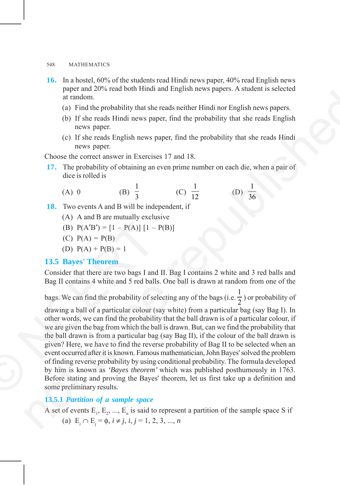- **16.** In a hostel, 60% of the students read Hindi news paper, 40% read English news paper and 20% read both Hindi and English news papers. A student is selected at random.
	- (a) Find the probability that she reads neither Hindi nor English news papers.
	- (b) If she reads Hindi news paper, find the probability that she reads English news paper.
	- (c) If she reads English news paper, find the probability that she reads Hindi news paper.

Choose the correct answer in Exercises 17 and 18.

**17.** The probability of obtaining an even prime number on each die, when a pair of dice is rolled is

(A) 0 (B) 
$$
\frac{1}{3}
$$
 (C)  $\frac{1}{12}$  (D)  $\frac{1}{36}$ 

- **18.** Two events A and B will be independent, if
	- (A) A and B are mutually exclusive

(B) 
$$
P(A'B') = [1 - P(A)] [1 - P(B)]
$$

- $(C) P(A) = P(B)$
- (D)  $P(A) + P(B) = 1$

# **13.5 Bayes' Theorem**

Consider that there are two bags I and II. Bag I contains 2 white and 3 red balls and Bag II contains 4 white and 5 red balls. One ball is drawn at random from one of the

bags. We can find the probability of selecting any of the bags (i.e. 1  $\frac{1}{2}$ ) or probability of

drawing a ball of a particular colour (say white) from a particular bag (say Bag I). In other words, we can find the probability that the ball drawn is of a particular colour, if we are given the bag from which the ball is drawn. But, can we find the probability that the ball drawn is from a particular bag (say Bag II), if the colour of the ball drawn is given? Here, we have to find the reverse probability of Bag II to be selected when an event occurred after it is known. Famous mathematician, John Bayes' solved the problem of finding reverse probability by using conditional probability. The formula developed by him is known as *'Bayes theorem'* which was published posthumously in 1763. Before stating and proving the Bayes' theorem, let us first take up a definition and some preliminary results. (B)  $P(A'B') = [1 - P(A)] [1 -$ <br>
(C)  $P(A) = P(B)$ <br>
(D)  $P(A) + P(B) = 1$ <br> **13.5 Bayes' Theorem**<br>
Consider that there are two bags I and<br>
Bag II contains 4 white and 5 red ball<br>
bags. We can find the probability of se<br>
drawing a ball of a pa neutron. The conduction of the probability that the relation of the same properties of the film of the probability that she reads the relation of the film of the reads Hindi on the reads English news paper. Find the prob

# **13.5.1** *Partition of a sample space*

A set of events  $E_1, E_2, ..., E_n$  is said to represent a partition of the sample space S if

(a)  $E_i \cap E_j = \emptyset$ ,  $i \neq j$ ,  $i, j = 1, 2, 3, ..., n$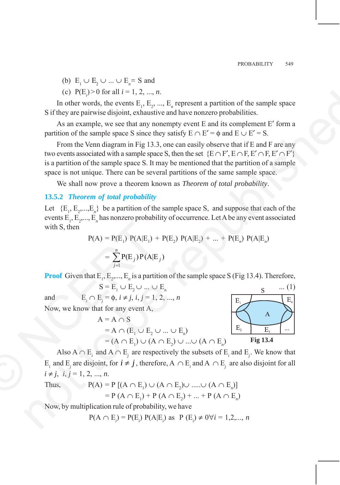- (b)  $E_1 \cup E_2 \cup ... \cup E_n = S$  and
- (c)  $P(E_i) > 0$  for all  $i = 1, 2, ..., n$ .

In other words, the events  $E_1, E_2, ..., E_n$  represent a partition of the sample space S if they are pairwise disjoint, exhaustive and have nonzero probabilities.

As an example, we see that any nonempty event E and its complement E′ form a partition of the sample space S since they satisfy  $E \cap E' = \emptyset$  and  $E \cup E' = S$ .

From the Venn diagram in Fig 13.3, one can easily observe that if E and F are any two events associated with a sample space S, then the set  $\{E \cap F', E \cap F, E' \cap F, E' \cap F'\}$ is a partition of the sample space S. It may be mentioned that the partition of a sample space is not unique. There can be several partitions of the same sample space. (c)  $W(\cdot) > 0$  for all  $i = 1, 2, ..., n$ .<br>
In other words, the events  $E_{\mu} E_{\nu}$ , ...,  $E_{\mu}$  represent a partition of the sample space<br>
Sirbey are pairwise chaigoing, echoinary more<br>  $A$ s are example, we see that any more<br>

We shall now prove a theorem known as *Theorem of total probability*.

# **13.5.2** *Theorem of total probability*

Let  ${E_1, E_2,...,E_n}$  be a partition of the sample space S, and suppose that each of the events  $E_1, E_2, ..., E_n$  has nonzero probability of occurrence. Let A be any event associated with S, then

$$
P(A) = P(E_1) P(A|E_1) + P(E_2) P(A|E_2) + ... + P(E_n) P(A|E_n)
$$
  
= 
$$
\sum_{j=1}^{n} P(E_j) P(A|E_j)
$$

**Proof** Given that  $E_1, E_2, \ldots, E_n$  is a partition of the sample space S (Fig 13.4). Therefore,  $S = E_1 \cup E_2 \cup ... \cup E_n$  ... (1)

and  $E_i \cap E_j = \emptyset, i \neq j, i, j = 1, 2, ..., n$ Now, we know that for any event A,

$$
A = A \cap S
$$
  
=  $A \cap (E_1 \cup E_2 \cup ... \cup E_n)$   
=  $(A \cap E_1) \cup (A \cap E_2) \cup ... \cup (A \cap E_n)$ 



Also  $A \cap E_i$  and  $A \cap E_j$  are respectively the subsets of  $E_i$  and  $E_j$ . We know that  $E_i$  and  $E_j$  are disjoint, for *i* ≠ *j*, therefore, A ∩  $E_i$  and A ∩  $E_j$  are also disjoint for all  $i \neq j$ ,  $i, j = 1, 2, ..., n$ . with S, then<br>  $P(A) = P(E_1) P(A|E_1)$ <br>  $= \sum_{j=1}^{n} P(E_j) P(A|E_2)$ <br>  $= \sum_{j=1}^{n} P(E_j) P(A|E_1)$ <br> **Proof** Given that  $E_1, E_2, ..., E_n$  is a partit<br>  $S = E_1 \cup E_2 \cup ... \cup$ <br>
and<br>  $E_i \cap E_j = \emptyset, i \neq j, i, j = 1,$ <br>
Now, we know that for any event A,<br>

Thus,  
\n
$$
P(A) = P [(A \cap E_1) \cup (A \cap E_2) \cup \dots \cup (A \cap E_n)]
$$
\n
$$
= P (A \cap E_1) + P (A \cap E_2) + \dots + P (A \cap E_n)
$$

Now, by multiplication rule of probability, we have

 $P(A \cap E_i) = P(E_i) P(A|E_i)$  as  $P(E_i) \neq 0 \forall i = 1, 2, ..., n$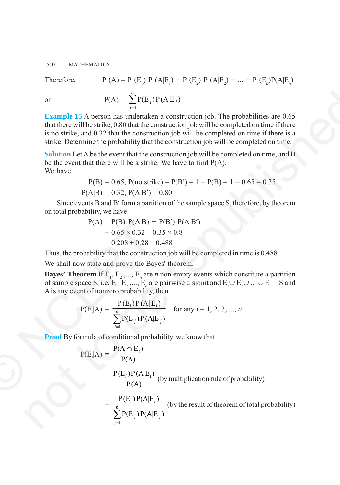Therefore,

$$
P (A) = P (E1) P (A|E1) + P (E2) P (A|E2) + ... + P (En)P(A|En)
$$

or 
$$
P(A) = \sum_{j=1}^{n} P(E_j) P(A|E_j)
$$

**Example 15** A person has undertaken a construction job. The probabilities are 0.65 that there will be strike, 0.80 that the construction job will be completed on time if there is no strike, and 0.32 that the construction job will be completed on time if there is a strike. Determine the probability that the construction job will be completed on time.

**Solution** Let A be the event that the construction job will be completed on time, and B be the event that there will be a strike. We have to find P(A). We have

$$
P(B) = 0.65, P(no strike) = P(B') = 1 - P(B) = 1 - 0.65 = 0.35
$$
  
P(A|B) = 0.32, P(A|B') = 0.80

Since events B and B′ form a partition of the sample space S, therefore, by theorem on total probability, we have

$$
P(A) = P(B) P(A|B) + P(B') P(A|B')
$$
  
= 0.65 × 0.32 + 0.35 × 0.8  
= 0.208 + 0.28 = 0.488

Thus, the probability that the construction job will be completed in time is 0.488.

We shall now state and prove the Bayes' theorem.

**Bayes' Theorem** If  $E_1, E_2, ..., E_n$  are *n* non empty events which constitute a partition of sample space S, i.e.  $E_1, E_2, ..., E_n$  are pairwise disjoint and  $E_1 \cup E_2 \cup ... \cup E_n = S$  and A is any event of nonzero probability, then

$$
P(E_i|A) = \frac{P(E_i)P(A|E_i)}{\sum_{j=1}^{n} P(E_j)P(A|E_j)}
$$
 for any  $i = 1, 2, 3, ..., n$ 

**Proof** By formula of conditional probability, we know that

or 
$$
P(A) = \sum_{r=1}^{n} P(E_{r})P(A|E_{r})
$$
  
\nExample 15 A person has undertaken a construction job. The probabilities are 0.65  
\nthat there will be strike, 0.80 that the construction job will be completed on time if there  
\nis no strike, and 0.32 that the construction job will be completed on time if there  
\nis not like, better than the probability that the construction job will be completed on time,  
\nSolution Let A be the event that the construction job will be completed on time,  
\nbe the event that there will be a strike. We have to find  $P(A)$ .  
\nWe have  
\n $P(B) = 0.65$ ,  $P(no strike) = P(B') = 1 - P(B) = 1 - 0.65 = 0.35$   
\n $P(A|B) = 0.32$ ,  $P(A|B') = 0.80$   
\nSince events B and B' form a partition of the sample space S, therefore, by theorem  
\non total probability, we have  
\n $P(A) = P(B) P(A|B) + P(B') P(A|B')$   
\n $= 0.65 \times 0.32 + 0.35 \times 0.8$   
\n $= 0.208 + 0.28 = 0.488$   
\nThus, the probability that the construction job will be completed in time is 0.488.  
\nWe shall now state and prove the Bayes' theorem.  
\nBayes' Theorem If E<sub>1</sub>, E<sub>2</sub>, ..., E<sub>n</sub> are non empty events which constitute a partition  
\nof sample space S, i.e. E<sub>1</sub>, E<sub>2</sub>, ..., E<sub>n</sub> are pairwise disjoint and E<sub>1</sub>∪ E<sub>2</sub>∪...∪ E<sub>n</sub> = S and  
\nA is any event of nonzero probability, then  
\n $P(E|A) = \frac{P(E_1)P(A|E_1)}{\sum_{j=1}^{n} P(E_j)P(A|E_j)}$  for any  $i = 1, 2, 3, ..., n$   
\nProof By formula of conditional probability, we know that  
\n $P(E|A) = \frac{P(A \cap E_1)}{P(A)}$   
\n $= \frac{P(E_1)P(A|E_1)}{P(A)}$  (by multiplication rule of probability)  
\n $= \frac{P(E_1)P(A|E_1)}{\sum_{j=1}^{n} P(E_j)P(A|E_j)}$  (by the result of theorem of total probability)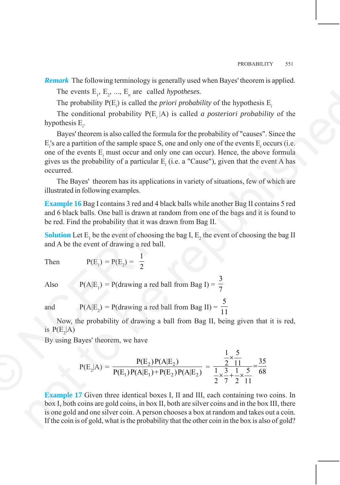*Remark* The following terminology is generally used when Bayes' theorem is applied. The events  $E_1$ ,  $E_2$ , ...,  $E_n$  are called *hypotheses*.

The probability  $P(E_i)$  is called the *priori probability* of the hypothesis  $E_i$ 

The conditional probability P(E*i* |A) is called *a posteriori probability* of the hypothesis E*<sup>i</sup>* .

Bayes' theorem is also called the formula for the probability of "causes". Since the E<sub>i</sub>'s are a partition of the sample space S, one and only one of the events E<sub>*i*</sub> occurs (i.e. one of the events  $E_i$  must occur and only one can occur). Hence, the above formula gives us the probability of a particular  $E_i$  (i.e. a "Cause"), given that the event A has occurred. The reents  $E_1, ..., E_k$  or called *hypothesis*. The republishity  $P(E_j)$  is called *the priori probability* of the hypothesis F<sub>1</sub>.<br>The probability  $P(E_j)$  is called the *formula for the probability* of "accuses". Since the hy

The Bayes' theorem has its applications in variety of situations, few of which are illustrated in following examples.

**Example 16** Bag I contains 3 red and 4 black balls while another Bag II contains 5 red and 6 black balls. One ball is drawn at random from one of the bags and it is found to be red. Find the probability that it was drawn from Bag II.

**Solution** Let  $E_1$  be the event of choosing the bag I,  $E_2$  the event of choosing the bag II and A be the event of drawing a red ball.

3

Then  $P(E_1) = P(E_2) =$ 1 2

Also

and

$$
P(A|E_1) = P(\text{drawing a red ball from Bag I}) = \frac{1}{7}
$$
  

$$
P(A|E_2) = P(\text{drawing a red ball from Bag II}) = \frac{5}{11}
$$

Now, the probability of drawing a ball from Bag II, being given that it is red, is  $P(E_2|A)$ 

By using Bayes' theorem, we have

be red. Find the probability that it was drawn from Bag II.  
\n**Solution** Let E<sub>1</sub> be the event of choosing the bag I, E<sub>2</sub> the event of choosing  
\nand A be the event of drawing a red ball.  
\nThen 
$$
P(E_1) = P(E_2) = \frac{1}{2}
$$
  
\nAlso  $P(A|E_1) = P(\text{drawing a red ball from Bag I}) = \frac{3}{7}$   
\nand  $P(A|E_2) = P(\text{drawing a red ball from Bag II}) = \frac{5}{11}$   
\nNow, the probability of drawing a ball from Bag II, being given that  
\nis  $P(E_2|A)$   
\nBy using Bayes' theorem, we have  
\n $P(E_2|A) = \frac{P(E_2)P(A|E_2)}{P(E_1)P(A|E_1) + P(E_2)P(A|E_2)} = \frac{\frac{1}{2} \times \frac{5}{11}}{\frac{1}{2} \times \frac{3}{7} + \frac{1}{2} \times \frac{5}{11}}$   
\nExample 17 Given three identical boxes I. II and III. each containing two

**Example 17** Given three identical boxes I, II and III, each containing two coins. In box I, both coins are gold coins, in box II, both are silver coins and in the box III, there is one gold and one silver coin. A person chooses a box at random and takes out a coin. If the coin is of gold, what is the probability that the other coin in the box is also of gold?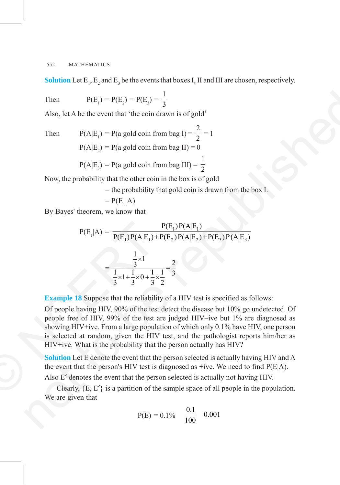**Solution** Let  $E_1$ ,  $E_2$  and  $E_3$  be the events that boxes I, II and III are chosen, respectively.

Then  $P(E_1) = P(E_2) = P(E_3) =$ 1 3

Also, let A be the event that 'the coin drawn is of gold'

Then

$$
P(A|E_1) = P(a \text{ gold coin from bag I}) = \frac{2}{2} = 1
$$
  

$$
P(A|E_2) = P(a \text{ gold coin from bag II}) = 0
$$
  

$$
P(A|E_3) = P(a \text{ gold coin from bag III}) = \frac{1}{2}
$$

Now, the probability that the other coin in the box is of gold

= the probability that gold coin is drawn from the box I.  $= P(E_1|A)$ 

By Bayes' theorem, we know that

Then 
$$
P(E_1) = P(E_2) = P(E_3) = \frac{1}{3}
$$
  
\nAlso, let A be the event that 'the coin drawn is of gold'  
\nThen  $P(A|E_1) = P(a \text{ gold coin from bag } I) = \frac{2}{2} = I$   
\n $P(A|E_2) = P(a \text{ gold coin from bag } II) = 0$   
\n $P(A|E_3) = P(a \text{ gold coin from bag } III) = \frac{1}{2}$   
\nNow, the probability that the other coin in the box is of gold  
\n $=$  the probability that gold coin is drawn from the box I,  
\n $= P(E_1|A)$   
\nBy Bayes' theorem, we know that  
\n $P(E_1|A) = \frac{P(E_1)P(A|E_1)}{P(E_1)P(A|E_1) + P(E_2)P(A|E_2) + P(E_3)P(A|E_3)}$   
\n $= \frac{\frac{1}{3} \times 1}{\frac{1}{3} \times 1 + \frac{1}{3} \times 0 + \frac{1}{3} \times \frac{1}{2}} = \frac{2}{3}$   
\nExample 18 Suppose that the reliability of a HIV test is specified as follows:  
\nOf people having HIV, 90% of the test defect the disease but 10% go undetected. Of  
\npeople free of HIV, 99% of the test are judged HIV–ive but 1% are diagnosed as  
\nshowing HIV+ive. From a large population of which only 0.1% have HIV, or person  
\nis selected at random, given the HIV test, and the pathologies reports him/her as  
\nHIV+ive. What is the probability that the person selected is actually having HIV and A  
\nthe event that the person's HIV test is diagnosed as +ive. We need to find P(E|A).  
\nAlso E' denotes the event that the person selected is actually having HIV and A  
\nthe event that the person's HIV test is diagnosed as +ive. We need to find P(E|A).  
\nAlso E' denotes the event that the person selected is actually not having HIV.  
\nClearly,  $E_1, E_2'$  is a partition of the sample space of all people in the population.  
\nWe are given that  
\n $P(E) = 0.1\%$   $\frac{0.1}{100}$  0.001

**Example 18** Suppose that the reliability of a HIV test is specified as follows:

Of people having HIV, 90% of the test detect the disease but 10% go undetected. Of people free of HIV, 99% of the test are judged HIV–ive but 1% are diagnosed as showing HIV+ive. From a large population of which only 0.1% have HIV, one person is selected at random, given the HIV test, and the pathologist reports him/her as HIV+ive. What is the probability that the person actually has HIV?

**Solution** Let E denote the event that the person selected is actually having HIV and A the event that the person's HIV test is diagnosed as +ive. We need to find  $P(E|A)$ .

Also E′ denotes the event that the person selected is actually not having HIV.

Clearly, {E, E′} is a partition of the sample space of all people in the population. We are given that

$$
P(E) = 0.1\% \quad \frac{0.1}{100} \quad 0.001
$$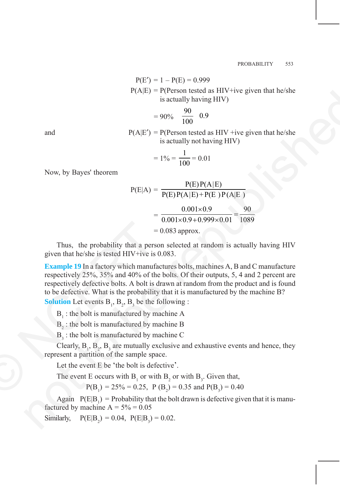$$
P(E') = 1 - P(E) = 0.999
$$
  
P(A|E) = P(Person tested as HIV+ive given that he/she  
is actually having HIV)

$$
= 90\% \quad \frac{90}{100} \quad 0.9
$$

and  $P(A|E') = P(Person tested as HIV +ive given that he/she$ is actually not having HIV)

$$
= 1\% = \frac{1}{100} = 0.01
$$

Now, by Bayes' theorem

$$
P(E|A) = \frac{P(E)P(A|E)}{P(E)P(A|E) + P(E)P(A|E)}
$$
  
= 
$$
\frac{0.001 \times 0.9}{0.001 \times 0.9 + 0.999 \times 0.01} = \frac{90}{1089}
$$
  
= 0.083 approx.

Thus, the probability that a person selected at random is actually having HIV given that he/she is tested HIV+ive is 0.083.

**Example 19** In a factory which manufactures bolts, machines A, B and C manufacture respectively 25%, 35% and 40% of the bolts. Of their outputs, 5, 4 and 2 percent are respectively defective bolts. A bolt is drawn at random from the product and is found to be defective. What is the probability that it is manufactured by the machine B? **Solution** Let events  $B_1$ ,  $B_2$ ,  $B_3$  be the following : Thus, the probability that a pers<br>given that he/she is tested HIV+ive is<br>**Example 19** In a factory which manufa<br>respectively 25%, 35% and 40% of the<br>respectively defective bolts. A bolt is to<br>to be defective. What is the P(A)F) = P(PER) = P(Person leaded as HIV + Yve given that he/she<br>
= 90%  $\frac{90}{100}$  0.9<br>
and<br>  $P(A|E') = P(P$  erson to be a BHV + Yve given that he/she<br>
= 1% =  $\frac{1}{100} = 0.01$ <br>
Now, by Bayes' theorem<br>  $P(E|A) = \frac{P(P|B)P(A|E) + P$ 

 $B_1$ : the bolt is manufactured by machine A

 $B_2$ : the bolt is manufactured by machine B

 $B_3$ : the bolt is manufactured by machine C

Clearly,  $B_1$ ,  $B_2$ ,  $B_3$  are mutually exclusive and exhaustive events and hence, they represent a partition of the sample space.

Let the event E be 'the bolt is defective'.

The event E occurs with  $B_1$  or with  $B_2$  or with  $B_3$ . Given that,

 $P(B_1) = 25\% = 0.25$ ,  $P(B_2) = 0.35$  and  $P(B_3) = 0.40$ 

Again  $P(E|B_1) =$  Probability that the bolt drawn is defective given that it is manufactured by machine  $A = 5\% = 0.05$ 

Similarly,  $= 0.04, P(E|B<sub>3</sub>) = 0.02.$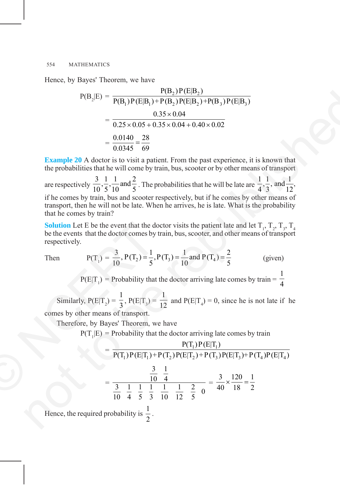Hence, by Bayes' Theorem, we have

$$
P(B_2|E) = \frac{P(B_2)P(E|B_2)}{P(B_1)P(E|B_1) + P(B_2)P(E|B_2) + P(B_3)P(E|B_3)}
$$
  
= 
$$
\frac{0.35 \times 0.04}{0.25 \times 0.05 + 0.35 \times 0.04 + 0.40 \times 0.02}
$$
  
= 
$$
\frac{0.0140}{0.0345} = \frac{28}{69}
$$

**Example 20** A doctor is to visit a patient. From the past experience, it is known that the probabilities that he will come by train, bus, scooter or by other means of transport are respectively  $\frac{3}{10}$ ,  $\frac{1}{5}$ ,  $\frac{1}{10}$  and  $\frac{2}{5}$ . The probabilities that he will be late are  $\frac{1}{4}$ ,  $\frac{1}{3}$ , and  $\frac{1}{12}$ , if he comes by train, bus and scooter respectively, but if he comes by other means of transport, then he will not be late. When he arrives, he is late. What is the probability that he comes by train? P(B<sub>1</sub>F) =  $\frac{P(B_1F_1)}{P(B_1)} = \frac{P(B_2F_1(E_2F_3))}{P(B_1F_2) + P(B_1)P(P(B_1))}$ <br>
=  $\frac{0.35 \times 0.04}{0.25 \times 0.04 + 0.40 \times 0.02}$ <br>
=  $\frac{0.340 - 2.8}{0.035 \times 0.04 + 0.40 \times 0.02}$ <br>
=  $\frac{0.0140 - 2.8}{0.035 \times 0.04 + 0.40 \times 0.02}$ <br>
Example 20

**Solution** Let E be the event that the doctor visits the patient late and let  $T_1$ ,  $T_2$ ,  $T_3$ ,  $T_4$ be the events that the doctor comes by train, bus, scooter, and other means of transport respectively.

Then

$$
P(T_1) = \frac{3}{10}, P(T_2) = \frac{1}{5}, P(T_3) = \frac{1}{10}
$$
 and  $P(T_4) = \frac{2}{5}$  (given)

 $P(E|T_1)$  = Probability that the doctor arriving late comes by train = 1 4

Similarly,  $P(E|T_2) =$ 1  $\frac{1}{3}$ , P(E|T<sub>3</sub>) = 1  $\frac{1}{12}$  and P(E|T<sub>4</sub>) = 0, since he is not late if he

comes by other means of transport.

Therefore, by Bayes' Theorem, we have

 $P(T_1|E)$  = Probability that the doctor arriving late comes by train

**Solution** Let E be the event that the doctor visits the patient late and let T<sub>1</sub>, T<sub>2</sub>, T<sub>3</sub>,  
be the events that the doctor comes by train, bus, scooter, and other means of transpose  
respectively.  
Then 
$$
P(T_1) = \frac{3}{10}, P(T_2) = \frac{1}{5}, P(T_3) = \frac{1}{10}
$$
 and  $P(T_4) = \frac{2}{5}$  (given)  
 $P(E|T_1) =$  Probability that the doctor arriving late comes by train =  $\frac{1}{4}$   
Similarly,  $P(E|T_2) = \frac{1}{3}$ ,  $P(E|T_3) = \frac{1}{12}$  and  $P(E|T_4) = 0$ , since he is not late if 1  
comes by other means of transport.  
Therefore, by Bayes' Theorem, we have  
 $P(T_1|E) =$  Probability that the doctor arriving late comes by train  

$$
= \frac{P(T_1)P(E|T_1)}{P(T_1)P(E|T_1) + P(T_2)P(E|T_2) + P(T_3)P(E|T_3) + P(T_4)P(E|T_4)}
$$

$$
= \frac{\frac{3}{10} - \frac{1}{10}}{\frac{3}{10} - \frac{1}{10} - \frac{1}{10}} = \frac{1}{10} \times \frac{120}{18} = \frac{1}{2}
$$

Hence, the required probability is  $\frac{1}{2}$ 2 .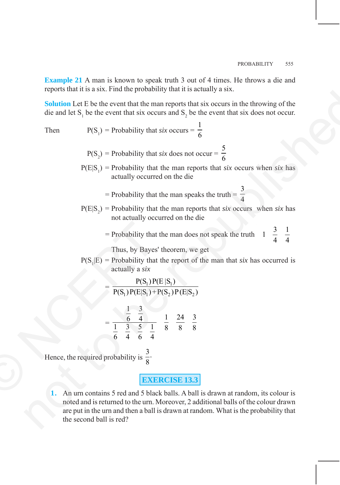**Example 21** A man is known to speak truth 3 out of 4 times. He throws a die and reports that it is a six. Find the probability that it is actually a six.

**Solution** Let E be the event that the man reports that six occurs in the throwing of the die and let  $S_1$  be the event that six occurs and  $S_2$  be the event that six does not occur.

Equation Let E be the event that the man reports that six occurs in the throwing of the die and let S<sub>1</sub> be the event that six occurs and S<sub>2</sub> be the event that six occurs and S<sub>2</sub> be the event that six occurs and S<sub>2</sub> be the event that six occurs and S<sub>2</sub> be the event that six does not occur.

\nThen

\n
$$
P(S_1) = \text{Probability that six occurs} = \frac{1}{6}
$$
\n
$$
P(S_2) = \text{Probability that six occurs} = \frac{5}{6}
$$
\n
$$
P(E|S_1) = \text{Probability that the man reports that six occurs when six has actually occurred on the die
$$
\n
$$
= \text{Probability that the man reports that six occurs when six has not actually occurred on the die
$$
\n
$$
= \text{Probability that the man does not speak the truth } 1 \frac{3}{4} \frac{1}{4}
$$
\n
$$
P(S_1|E) = \text{Probability that the report of the man that six has occurred is actually a six actually as it.\n
$$
= \frac{P(S_1)P(E|S_1)}{P(S_1)P(E|S_1) + P(S_2)P(E|S_2)}
$$
\n
$$
= \frac{1}{P(S_1)P(E|S_1) + P(S_2)P(E|S_2)}
$$
\n
$$
= \frac{1}{1} \frac{3}{3} \frac{5}{5} \frac{1}{6} \frac{1}{6} \frac{24}{4} \frac{3}{6} \frac{3}{8}
$$
\nHence, the required probability is  $\frac{3}{8}$ .

\nEXERCISE 13.3

\n1. An urn contains 5 red and 5 black balls. A ball is drawn at random, its colour is noted and is returned to the urn. Moreover, 2 additional balls of the colour drawn are put in the urn and then a ball is drawn at random. What is the probability that the second ball is red?
$$

1351 888  $\frac{1}{6}$   $\frac{5}{4}$   $\frac{5}{6}$   $\frac{1}{4}$ 

Hence, the required probability is  $\frac{3}{2}$ . 8

**EXERCISE 13.3**

**1.** An urn contains 5 red and 5 black balls. A ball is drawn at random, its colour is noted and is returned to the urn. Moreover, 2 additional balls of the colour drawn are put in the urn and then a ball is drawn at random. What is the probability that the second ball is red?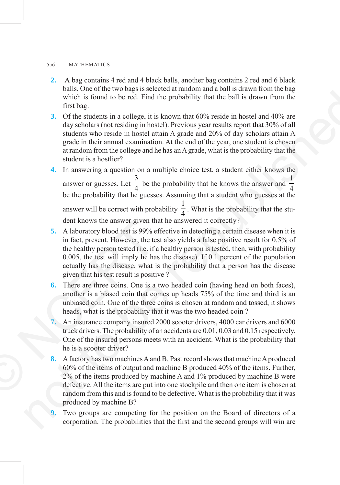- **2.** A bag contains 4 red and 4 black balls, another bag contains 2 red and 6 black balls. One of the two bags is selected at random and a ball is drawn from the bag which is found to be red. Find the probability that the ball is drawn from the first bag.
- **3.** Of the students in a college, it is known that 60% reside in hostel and 40% are day scholars (not residing in hostel). Previous year results report that 30% of all students who reside in hostel attain A grade and 20% of day scholars attain A grade in their annual examination. At the end of the year, one student is chosen at random from the college and he has an A grade, what is the probability that the student is a hostlier?
- **4.** In answering a question on a multiple choice test, a student either knows the answer or guesses. Let 3  $\frac{1}{4}$  be the probability that he knows the answer and 1 4 be the probability that he guesses. Assuming that a student who guesses at the answer will be correct with probability 1  $\frac{1}{4}$ . What is the probability that the student knows the answer given that he answered it correctly? which is found to be read. Tractation probability that the bull is drawn from the last in the found to be red. Find the probability that the bull is drawn from the fits in the fits in the stellar and noticealing in horsel
- **5.** A laboratory blood test is 99% effective in detecting a certain disease when it is in fact, present. However, the test also yields a false positive result for 0.5% of the healthy person tested (i.e. if a healthy person is tested, then, with probability 0.005, the test will imply he has the disease). If 0.1 percent of the population actually has the disease, what is the probability that a person has the disease given that his test result is positive ? 5. A laboratory blood test is 99% e<br>in fact, present. However, the te<br>the healthy person tested (i.e. if a<br>0.005, the test will imply he ha<br>actually has the disease, what i<br>given that his test result is positi<br>6. There are
	- **6.** There are three coins. One is a two headed coin (having head on both faces), another is a biased coin that comes up heads 75% of the time and third is an unbiased coin. One of the three coins is chosen at random and tossed, it shows heads, what is the probability that it was the two headed coin ?
	- **7.** An insurance company insured 2000 scooter drivers, 4000 car drivers and 6000 truck drivers. The probability of an accidents are 0.01, 0.03 and 0.15 respectively. One of the insured persons meets with an accident. What is the probability that he is a scooter driver?
	- **8.** A factory has two machines A and B. Past record shows that machine A produced 60% of the items of output and machine B produced 40% of the items. Further, 2% of the items produced by machine A and 1% produced by machine B were defective. All the items are put into one stockpile and then one item is chosen at random from this and is found to be defective. What is the probability that it was produced by machine B?
	- **9.** Two groups are competing for the position on the Board of directors of a corporation. The probabilities that the first and the second groups will win are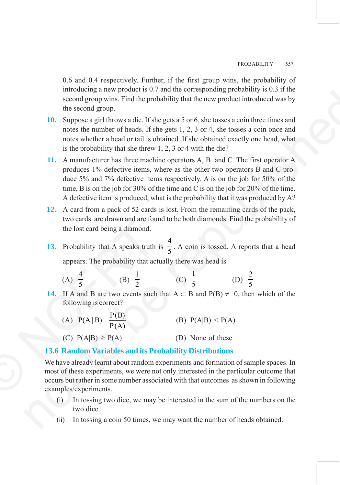0.6 and 0.4 respectively. Further, if the first group wins, the probability of introducing a new product is 0.7 and the corresponding probability is 0.3 if the second group wins. Find the probability that the new product introduced was by the second group.

- **10.** Suppose a girl throws a die. If she gets a 5 or 6, she tosses a coin three times and notes the number of heads. If she gets 1, 2, 3 or 4, she tosses a coin once and notes whether a head or tail is obtained. If she obtained exactly one head, what is the probability that she threw 1, 2, 3 or 4 with the die?
- **11.** A manufacturer has three machine operators A, B and C. The first operator A produces 1% defective items, where as the other two operators B and C produce 5% and 7% defective items respectively. A is on the job for 50% of the time, B is on the job for 30% of the time and C is on the job for 20% of the time. A defective item is produced, what is the probability that it was produced by A? motonion gradient produces So at an interestigation and so an interestigation of the second group wins. Find the probability that the new product introduced was by<br>the second group wins. Find the probability that the new
	- **12.** A card from a pack of 52 cards is lost. From the remaining cards of the pack, two cards are drawn and are found to be both diamonds. Find the probability of the lost card being a diamond.
	- **13.** Probability that A speaks truth is 4  $\frac{1}{5}$ . A coin is tossed. A reports that a head appears. The probability that actually there was head is

(A) 
$$
\frac{4}{5}
$$
 (B)  $\frac{1}{2}$  (C)  $\frac{1}{5}$  (D)  $\frac{2}{5}$ 

**14.** If A and B are two events such that  $A \subset B$  and  $P(B) \neq 0$ , then which of the following is correct?

| $\underline{P(B)}$<br>$(A)$ $P(A B)$<br>$\overline{P(A)}$ | (B) $P(A B) < P(A)$ |
|-----------------------------------------------------------|---------------------|
| (C) $P(A B) \ge P(A)$                                     | (D) None of these   |

# **13.6 Random Variables and its Probability Distributions**

We have already learnt about random experiments and formation of sample spaces. In most of these experiments, we were not only interested in the particular outcome that occurs but rather in some number associated with that outcomes as shown in following examples/experiments. 13. Probability that A speaks truth<br>appears. The probability that accrossing a diamond.<br>
13. Probability that A speaks truth<br>appears. The probability that accrossing that accrossing the such<br>
following is correct?<br>
(A)  $P$ 

- (i) In tossing two dice, we may be interested in the sum of the numbers on the two dice.
- (ii) In tossing a coin 50 times, we may want the number of heads obtained.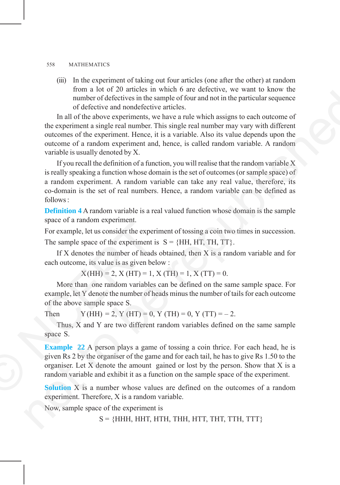(iii) In the experiment of taking out four articles (one after the other) at random from a lot of 20 articles in which 6 are defective, we want to know the number of defectives in the sample of four and not in the particular sequence of defective and nondefective articles.

In all of the above experiments, we have a rule which assigns to each outcome of the experiment a single real number. This single real number may vary with different outcomes of the experiment. Hence, it is a variable. Also its value depends upon the outcome of a random experiment and, hence, is called random variable. A random variable is usually denoted by X.

If you recall the definition of a function, you will realise that the random variable X is really speaking a function whose domain is the set of outcomes (or sample space) of a random experiment. A random variable can take any real value, therefore, its co-domain is the set of real numbers. Hence, a random variable can be defined as follows : manned of the constraints in the concertive, we wanted to the principal number of dielectives in the sample of four and not four the particular sequence<br>
in all of the chose experiments, we have a rule whiteh assigns to e

**Definition 4** A random variable is a real valued function whose domain is the sample space of a random experiment.

For example, let us consider the experiment of tossing a coin two times in succession. The sample space of the experiment is  $S = \{HH, HT, TH, TT\}$ .

If X denotes the number of heads obtained, then X is a random variable and for each outcome, its value is as given below :

 $X(HH) = 2$ ,  $X(HT) = 1$ ,  $X(TH) = 1$ ,  $X(TT) = 0$ .

More than one random variables can be defined on the same sample space. For example, let Y denote the number of heads minus the number of tails for each outcome of the above sample space S.

Then  $Y(HH) = 2$ ,  $Y(HT) = 0$ ,  $Y(TH) = 0$ ,  $Y(TT) = -2$ .

Thus, X and Y are two different random variables defined on the same sample space S.

**Example** 22 A person plays a game of tossing a coin thrice. For each head, he is given Rs 2 by the organiser of the game and for each tail, he has to give Rs 1.50 to the organiser. Let X denote the amount gained or lost by the person. Show that X is a random variable and exhibit it as a function on the sample space of the experiment. For example, let us consider the experiment.<br>
For example, let us consider the experiment is<br>
If X denotes the number of heads<br>
each outcome, its value is as given bel<br>  $X(HH) = 2$ ,  $X(HT) = 1$ ,<br>
More than one random variable

**Solution** X is a number whose values are defined on the outcomes of a random experiment. Therefore, X is a random variable.

Now, sample space of the experiment is

 $S = \{HHH, HHT, HTH, THH, HTT, THT, TTH, TTT\}$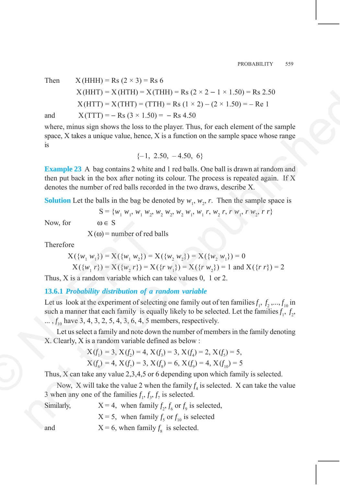Then 
$$
X(HHH) = Rs (2 \times 3) = Rs 6
$$
  
\n $X(HHT) = X(HTH) = X(THH) = Rs (2 \times 2 - 1 \times 1.50) = Rs 2.50$   
\n $X(HTT) = X(THT) = (TTH) = Rs (1 \times 2) - (2 \times 1.50) = -Re 1$   
\nand  $X(TTT) = - Rs (3 \times 1.50) = -Rs 4.50$ 

where, minus sign shows the loss to the player. Thus, for each element of the sample space, X takes a unique value, hence, X is a function on the sample space whose range is X(HIT) = X(1H) = N(1H) = Rs (2 × 2 - 1 × 1.50) = Rs 2.50<br>
x(HTT) = N(1H) = Rs (1 × 2) - (2 × 1.50) = Rs 2.50<br>
and X(TTT) - Rs (3 × 1.50) = - Rs 4.50<br>
where, minus sign shows the loss to the player. Thus, for each element

$$
\{-1, 2.50, -4.50, 6\}
$$

**Example 23** A bag contains 2 white and 1 red balls. One ball is drawn at random and then put back in the box after noting its colour. The process is repeated again. If X denotes the number of red balls recorded in the two draws, describe X.

**Solution** Let the balls in the bag be denoted by  $w_1$ ,  $w_2$ , *r*. Then the sample space is

$$
S = \{w_1 \, w_1, w_1 \, w_2, w_2 \, w_2, w_2 \, w_1, w_1 \, r, w_2 \, r, w_1, w_2, r \, r\}
$$

Now, for  $\omega \in S$ 

 $X(\omega)$  = number of red balls

Therefore

$$
X({w_1 w_1}) = X({w_1 w_2}) = X({w_2 w_2}) = X({w_2 w_1}) = 0
$$
  
 
$$
X({w_1 r}) = X({w_2 r}) = X({r w_1}) = X({r w_2}) = 1
$$
 and 
$$
X({r r}) = 2
$$

Thus, X is a random variable which can take values 0, 1 or 2.

# **13.6.1** *Probability distribution of a random variable*

Let us look at the experiment of selecting one family out of ten families  $f_1, f_2, ..., f_{10}$  in such a manner that each family is equally likely to be selected. Let the families  $f_1, f_2$ ,  $...$ ,  $f_{10}$  have 3, 4, 3, 2, 5, 4, 3, 6, 4, 5 members, respectively. Now, for  $\omega \in S$ <br>  $X(\omega) =$  number of red b<br>
Therefore<br>  $X(\{w_1 w_1\}) = X(\{w_1 w_2\}) = 2$ <br>  $X(\{w_1 r\}) = X(\{w_2 r\}) = X$ <br>
Thus, X is a random variable which ca<br>
13.6.1 Probability distribution of a 1<br>
Let us look at the experiment of

Let us select a family and note down the number of members in the family denoting X. Clearly, X is a random variable defined as below :

$$
X(f_1) = 3, X(f_2) = 4, X(f_3) = 3, X(f_4) = 2, X(f_5) = 5,X(f_6) = 4, X(f_7) = 3, X(f_8) = 6, X(f_9) = 4, X(f_{10}) = 5
$$

Thus, X can take any value 2,3,4,5 or 6 depending upon which family is selected.

Now, X will take the value 2 when the family  $f_4$  is selected. X can take the value 3 when any one of the families  $f_1, f_3, f_7$  is selected.

| Similarly, | $X = 4$ , when family $f_2, f_6$ or $f_9$ is selected, |
|------------|--------------------------------------------------------|
|            | $X = 5$ , when family $f_5$ or $f_{10}$ is selected    |
| and        | $X = 6$ , when family $f8$ is selected.                |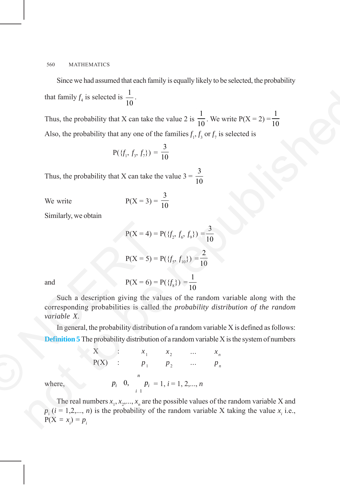Since we had assumed that each family is equally likely to be selected, the probability that family  $f_4$  is selected is  $\frac{1}{10}$ .

Thus, the probability that  $X$  can take the value 2 is 1  $\frac{1}{10}$ . We write P(X = 2) = 1 10 Also, the probability that any one of the families  $f_1, f_3$  or  $f_7$  is selected is

$$
P(\{f_1, f_3, f_7\}) = \frac{3}{10}
$$

Thus, the probability that X can take the value  $3 = \frac{3}{16}$ 10

We write  $P($ 

$$
X=3)=\frac{3}{10}
$$

Similarly, we obtain

$$
P(X = 4) = P(\{f_2, f_6, f_9\}) = \frac{3}{10}
$$
  
 
$$
P(X = 5) = P(\{f_5, f_{10}\}) = \frac{2}{10}
$$
  
and  
 
$$
P(X = 6) = P(\{f_8\}) = \frac{1}{10}
$$

Such a description giving the values of the random variable along with the corresponding probabilities is called the *probability distribution of the random variable X*.

In general, the probability distribution of a random variable X is defined as follows: **Definition 5** The probability distribution of a random variable X is the system of numbers

|             |                                                                                                                         | $P(X = 4) = P(\{f_2, f_6, f_9\}) = \frac{3}{10}$ |  |         |
|-------------|-------------------------------------------------------------------------------------------------------------------------|--------------------------------------------------|--|---------|
|             |                                                                                                                         | $P(X = 5) = P(\{f_s, f_{10}\}) = \frac{2}{10}$   |  |         |
| and         |                                                                                                                         | $P(X = 6) = P({f8}) = \frac{1}{10}$              |  |         |
| variable X. | Such a description giving the values of the random<br>corresponding probabilities is called the <i>probability dist</i> |                                                  |  |         |
|             | In general, the probability distribution of a random variable                                                           |                                                  |  |         |
|             | <b>Definition 5</b> The probability distribution of a random variable $\lambda$                                         |                                                  |  |         |
|             |                                                                                                                         |                                                  |  | $x_{n}$ |
|             | $X$ : $x_1$ $x_2$<br>$P(X)$ : $p_1$ $p_2$                                                                               |                                                  |  | $p_{n}$ |
| where,      |                                                                                                                         | $p_i$ 0, $p_i = 1, i = 1, 2, , n$                |  |         |

The real numbers  $x_1, x_2, ..., x_n$  are the possible values of the random variable X and  $p_i$  (*i* = 1,2,..., *n*) is the probability of the random variable X taking the value  $x_i$  i.e.,  $P(X = x_i) = p_i$ that lamily  $f_x$  is selected is  $\frac{1}{10}$ .<br>
Thus, the probability that X can take the value 2 is  $\frac{1}{10}$ . We write  $P(X = 2) = \frac{1}{10}$ <br>
Also, the probability that any one of the families  $f_y, f_y$  or  $f_y$  is selected is<br>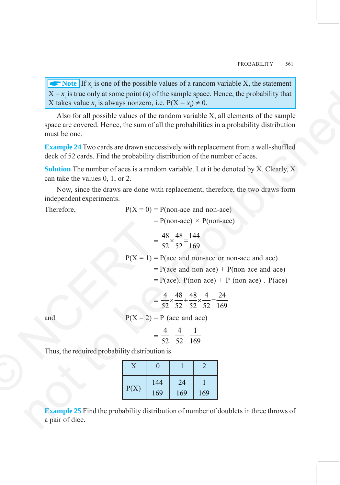$\bullet$  **Note** If  $x_i$  is one of the possible values of a random variable X, the statement  $X = x_i$  is true only at some point (s) of the sample space. Hence, the probability that X takes value  $x_i$  is always nonzero, i.e.  $P(X = x_i) \neq 0$ .

Also for all possible values of the random variable X, all elements of the sample space are covered. Hence, the sum of all the probabilities in a probability distribution must be one. X = x, is the complex is one point (s) of the sumple space. Hence, the probability that<br>
X lakes value x<sub>1</sub> is always nonzero, i.e. P(X = x<sub>1</sub>) z 0.<br>
Also for all possible values of the random variable X, all elements of

**Example 24** Two cards are drawn successively with replacement from a well-shuffled deck of 52 cards. Find the probability distribution of the number of aces.

**Solution** The number of aces is a random variable. Let it be denoted by X. Clearly, X can take the values 0, 1, or 2.

Now, since the draws are done with replacement, therefore, the two draws form independent experiments.

# Therefore,  $P(X = 0) = P($ non-ace and non-ace)

 $= P$ (non-ace) × P(non-ace)

$$
=\frac{48}{52} \times \frac{48}{52} = \frac{144}{169}
$$

 $P(X = 1) = P(\text{ace and non-ace or non-ace and ace})$ 

 $= P(ace and non-ace) + P(non-ace and ace)$ 

 $= P(ace)$ . P(non-ace) + P (non-ace) . P(ace)

$$
=\frac{4}{52} \times \frac{48}{52} + \frac{48}{52} \times \frac{4}{52} = \frac{24}{169}
$$

$$
=\frac{4}{52} \frac{4}{52} \frac{1}{169}
$$

| $\frac{48}{52} \times \frac{48}{52} = \frac{144}{169}$<br>$P(X = 1) = P(\text{ace and non-ace})$<br>$= P(ace and non-ace)$<br>$= P(ace)$ . $P(non-ace)$<br>$=\frac{4}{52} \times \frac{48}{52} + \frac{48}{52} \times \frac{4}{52} =$<br>$P(X = 2) = P$ (ace and ace)<br>and<br>$=\frac{4}{52}$ $\frac{4}{52}$ $\frac{1}{169}$<br>Thus, the required probability distribution is<br>X<br>$\boldsymbol{0}$<br>$\overline{2}$<br>144<br>24<br>P(X)<br>$\overline{169}$<br>169<br>169 |  |  | $-$ r (HOII-ace) $\wedge$ r (HOI |  |  |  |
|------------------------------------------------------------------------------------------------------------------------------------------------------------------------------------------------------------------------------------------------------------------------------------------------------------------------------------------------------------------------------------------------------------------------------------------------------------------------------------|--|--|----------------------------------|--|--|--|
|                                                                                                                                                                                                                                                                                                                                                                                                                                                                                    |  |  |                                  |  |  |  |
|                                                                                                                                                                                                                                                                                                                                                                                                                                                                                    |  |  |                                  |  |  |  |
|                                                                                                                                                                                                                                                                                                                                                                                                                                                                                    |  |  |                                  |  |  |  |
|                                                                                                                                                                                                                                                                                                                                                                                                                                                                                    |  |  |                                  |  |  |  |
|                                                                                                                                                                                                                                                                                                                                                                                                                                                                                    |  |  |                                  |  |  |  |
|                                                                                                                                                                                                                                                                                                                                                                                                                                                                                    |  |  |                                  |  |  |  |
|                                                                                                                                                                                                                                                                                                                                                                                                                                                                                    |  |  |                                  |  |  |  |
|                                                                                                                                                                                                                                                                                                                                                                                                                                                                                    |  |  |                                  |  |  |  |
|                                                                                                                                                                                                                                                                                                                                                                                                                                                                                    |  |  |                                  |  |  |  |
|                                                                                                                                                                                                                                                                                                                                                                                                                                                                                    |  |  |                                  |  |  |  |

**Example 25** Find the probability distribution of number of doublets in three throws of a pair of dice.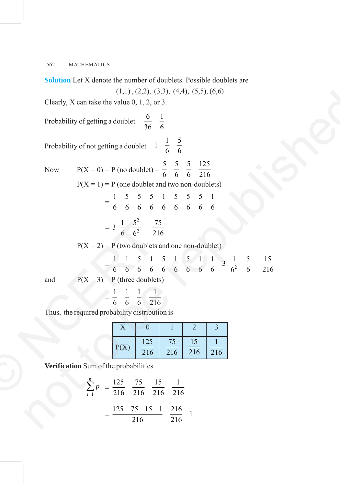$(1,1)$ ,  $(2,2)$ ,  $(3,3)$ ,  $(4,4)$ ,  $(5,5)$ ,  $(6,6)$ Clearly, X can take the value 0, 1, 2, or 3. Probability of getting a doublet  $\frac{6}{36}$   $\frac{1}{6}$ Probability of not getting a doublet  $1 \frac{1}{6} \frac{5}{6}$ Now  $P(X = 0) = P$  (no doublet) =  $\frac{5}{6}$   $\frac{5}{6}$   $\frac{5}{6}$   $\frac{125}{216}$  $P(X = 1) = P$  (one doublet and two non-doublets)  $=\frac{1}{6}$   $\frac{5}{6}$   $\frac{5}{6}$   $\frac{5}{6}$   $\frac{1}{6}$   $\frac{5}{6}$   $\frac{5}{6}$   $\frac{5}{6}$   $\frac{1}{6}$ = 2  $3\frac{1}{6} \frac{5^2}{6^2} \frac{75}{216}$  $6 \t6^2 \t216$  $P(X = 2) = P$  (two doublets and one non-doublet)  $=\frac{1}{6}$   $\frac{1}{6}$   $\frac{5}{6}$   $\frac{1}{6}$   $\frac{5}{6}$   $\frac{1}{6}$   $\frac{5}{6}$   $\frac{1}{6}$   $\frac{1}{6}$   $\frac{3}{6}$   $\frac{1}{6^2}$   $\frac{5}{6}$   $\frac{15}{214}$  $6 \t6 \t6 \t6 \t6 \t6 \t6 \t6 \t6 \t6 \t6^2 \t6 \t216$ and  $P(X = 3) = P$  (three doublets)  $=\frac{1}{6} \quad \frac{1}{6} \quad \frac{1}{6} \quad \frac{1}{216}$ Thus, the required probability distribution is  $= 3 \frac{1}{6} \frac{5^2}{6^2} - \frac{7}{2}$ <br>  $P(X = 2) = P$  (two doublets<br>  $= \frac{1}{6} \frac{1}{6} \frac{5}{6} \frac{1}{6}$ <br>
and  $P(X = 3) = P$  (three double<br>  $= \frac{1}{6} \frac{1}{6} \frac{1}{6} \frac{1}{6} \frac{1}{21}$ <br>
Thus, the required probability distribut<br>  $\boxed{X}$  0<br>  $P(X)$ Clearly, X can take the value 0, 1, 2, or 3, 4(44), (5, 3), (6,6)<br>
Probability of getting a doublet  $\frac{6}{36}$   $\frac{1}{6}$ <br>
Probability of getting a doublet  $\frac{6}{36}$   $\frac{1}{6}$ <br>
Probability of and getting a doublet  $\frac{5}{8$ 

**Solution** Let X denote the number of doublets. Possible doublets are

| P(X) | 125<br>216 | 75<br>216 | 15<br>216 | 216 |
|------|------------|-----------|-----------|-----|

**Verification** Sum of the probabilities

$$
\sum_{i=1}^{n} p_i = \frac{125}{216} \quad \frac{75}{216} \quad \frac{15}{216} \quad \frac{1}{216}
$$

$$
= \frac{125 \quad 75 \quad 15 \quad 1}{216} \quad \frac{216}{216} \quad 1
$$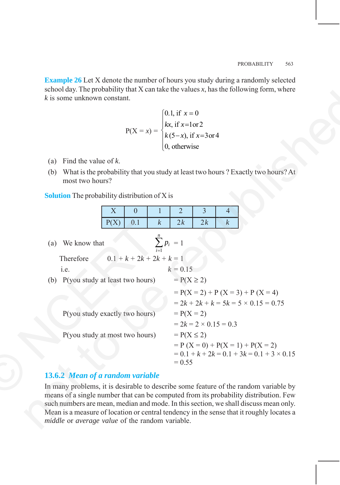**Example 26** Let X denote the number of hours you study during a randomly selected school day. The probability that  $X$  can take the values  $x$ , has the following form, where *k* is some unknown constant.

$$
P(X = x) = \begin{cases} 0.1, \text{ if } x = 0\\ kx, \text{ if } x = 1 \text{ or } 2\\ k(5-x), \text{ if } x = 3 \text{ or } 4\\ 0, \text{ otherwise} \end{cases}
$$

- (a) Find the value of *k*.
- (b) What is the probability that you study at least two hours ? Exactly two hours? At most two hours?

| $k$ is some unknown constant.                                      | SCHOOL Gay. THE PROBABILLY that A Call take the values $\lambda$ , has the following form, where                                                                                                                                                                                                                                                                 |
|--------------------------------------------------------------------|------------------------------------------------------------------------------------------------------------------------------------------------------------------------------------------------------------------------------------------------------------------------------------------------------------------------------------------------------------------|
|                                                                    | $\left[0.1, \text{if } x = 0\right]$<br>P(X = x) = $\begin{cases} kx, \text{ if } x = 1 \text{ or } 2 \\ k(5-x), \text{ if } x = 3 \text{ or } 4 \\ 0, \text{ otherwise} \end{cases}$                                                                                                                                                                            |
| (a) Find the value of $k$ .<br>most two hours?                     | (b) What is the probability that you study at least two hours? Exactly two hours? At                                                                                                                                                                                                                                                                             |
| <b>Solution</b> The probability distribution of X is               |                                                                                                                                                                                                                                                                                                                                                                  |
| $\mathbf X$<br>$\boldsymbol{0}$<br>0.1<br>$\boldsymbol{k}$<br>P(X) | $\overline{2}$<br>$\overline{3}$<br>$\overline{4}$<br>2k<br>2k<br>$\boldsymbol{k}$                                                                                                                                                                                                                                                                               |
| (a) We know that                                                   | $\sum_{i=1}^{n} p_i = 1$                                                                                                                                                                                                                                                                                                                                         |
| Therefore<br>$0.1 + k + 2k + 2k + k = 1$<br>i.e.                   | $k = 0.15$                                                                                                                                                                                                                                                                                                                                                       |
| (b) P(you study at least two hours)                                | $= P(X \ge 2)$<br>$= P(X = 2) + P(X = 3) + P(X = 4)$<br>$= 2k + 2k + k = 5k = 5 \times 0.15 = 0.75$                                                                                                                                                                                                                                                              |
| P(you study exactly two hours)                                     | $= P(X = 2)$<br>$= 2k = 2 \times 0.15 = 0.3$                                                                                                                                                                                                                                                                                                                     |
| P(you study at most two hours)                                     | $= P(X \leq 2)$<br>$= P (X = 0) + P(X = 1) + P(X = 2)$<br>$= 0.1 + k + 2k = 0.1 + 3k = 0.1 + 3 \times 0.15$<br>$= 0.55$                                                                                                                                                                                                                                          |
| 13.6.2 Mean of a random variable                                   |                                                                                                                                                                                                                                                                                                                                                                  |
| middle or average value of the random variable.                    | In many problems, it is desirable to describe some feature of the random variable by<br>means of a single number that can be computed from its probability distribution. Few<br>such numbers are mean, median and mode. In this section, we shall discuss mean only.<br>Mean is a measure of location or central tendency in the sense that it roughly locates a |
|                                                                    |                                                                                                                                                                                                                                                                                                                                                                  |

# **13.6.2** *Mean of a random variable*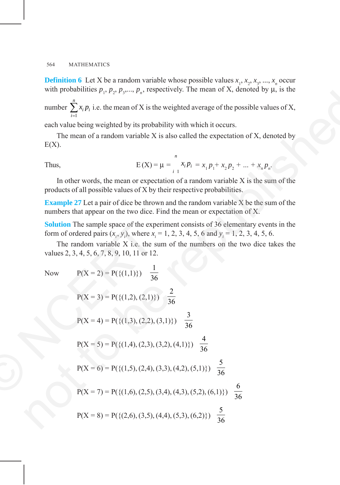**Definition 6** Let X be a random variable whose possible values  $x_1, x_2, x_3, ..., x_n$  occur with probabilities  $p_1, p_2, p_3, \dots, p_n$ , respectively. The mean of X, denoted by  $\mu$ , is the

number 1 *n*  $iPi$ *i x p*  $\sum_{i=1} x_i p_i$  i.e. the mean of X is the weighted average of the possible values of X,

each value being weighted by its probability with which it occurs.

The mean of a random variable X is also called the expectation of X, denoted by  $E(X)$ .

Thus, 
$$
E(X) = \mu = \int_{i=1}^{n} x_i p_i = x_1 p_1 + x_2 p_2 + ... + x_n p_n
$$

In other words, the mean or expectation of a random variable X is the sum of the products of all possible values of X by their respective probabilities.

.

**Example 27** Let a pair of dice be thrown and the random variable X be the sum of the numbers that appear on the two dice. Find the mean or expectation of X.

**Solution** The sample space of the experiment consists of 36 elementary events in the form of ordered pairs  $(x_i, y_i)$ , where  $x_i = 1, 2, 3, 4, 5, 6$  and  $y_i = 1, 2, 3, 4, 5, 6$ .

The random variable X i.e. the sum of the numbers on the two dice takes the values 2, 3, 4, 5, 6, 7, 8, 9, 10, 11 or 12.

Now  $P(X = 2) = P(\{(1,1)\})$ 1 36  $P(X = 3) = P(\{(1,2), (2,1)\})$ 2 36  $P(X = 4) = P({(1,3), (2,2), (3,1)})$ 3 36  $P(X = 5) = P({(1,4), (2,3), (3,2), (4,1)})$ 4 36  $P(X = 6) = P({(1,5), (2,4), (3,3), (4,2), (5,1)})$ 5 36  $P(X = 7) = P({(1,6), (2,5), (3,4), (4,3), (5,2), (6,1)})$ 6 36  $P(X = 8) = P({(2,6), (3,5), (4,4), (5,3), (6,2)})$ 5 36 **Solution** The sample space of the exp<br>form of ordered pairs  $(x_i, y_i)$ , where  $x_i$ <br>The random variable X i.e. the s<br>values 2, 3, 4, 5, 6, 7, 8, 9, 10, 11 or 12<br>Now  $P(X = 2) = P({{(1,1)}})$   $\frac{1}{36}$ <br> $P(X = 3) = P({{(1,2)}, (2,1)})$ <br> $P(X = 4)$ were probabilities  $p_1, p_2, p_3, \ldots, p_n$ , respectively, the mean of  $x$ , denoted by  $\mu_1$ , so de-<br>number  $\sum_{k=2}^{\infty} x_i p_i$ , i.e. the mean of X is the weighted average of the possible values of X,<br>each value being weighte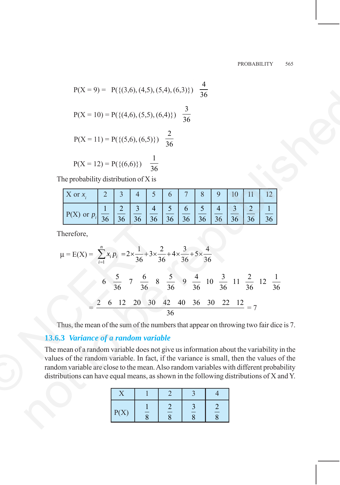$$
P(X = 9) = P(\{(3,6), (4,5), (5,4), (6,3)\}) \frac{4}{36}
$$
  
\n
$$
P(X = 10) = P(\{(4,6), (5,5), (6,4)\}) \frac{3}{36}
$$
  
\n
$$
P(X = 11) = P(\{(5,6), (6,5)\}) \frac{2}{36}
$$
  
\n
$$
P(X = 12) = P(\{(6,6)\}) \frac{1}{36}
$$

The probability distribution of X is

| $X$ or $x_i$                     |  |  |                                                                                                                       |          |  |  |
|----------------------------------|--|--|-----------------------------------------------------------------------------------------------------------------------|----------|--|--|
| $\left  P(X)$ or $p_i \right $ . |  |  | $\frac{1}{2}$ $\frac{2}{2}$ $\frac{3}{2}$ $\frac{4}{2}$ $\frac{5}{2}$ $\frac{6}{2}$<br>$6 \mid$<br> 36 36 36 36 36 36 | $5 \mid$ |  |  |

Therefore,

F(X-9) = F(
$$
(3, 9), (4, 3), (3, 4), (9, 3))
$$
 36  
\nP(X = 10) = P( $(4, 6), (5, 5), (6, 4)$ )  $\frac{3}{36}$   
\nP(X = 11) = P( $((5, 6), (6, 5))$ )  $\frac{2}{36}$   
\nP(X = 12) = P( $((6, 6))$ )  $\frac{1}{36}$   
\nThe probability distribution of X is  
\n $\frac{1}{36}$  or  $x_i$  2 3 4 5 6 7 8 9 10 11 12  
\nP(X) or  $p_i$   $\frac{1}{36}$   $\frac{2}{36}$   $\frac{3}{36}$   $\frac{4}{36}$   $\frac{5}{36}$   $\frac{6}{36}$   $\frac{5}{36}$   $\frac{4}{36}$   $\frac{3}{36}$   $\frac{2}{36}$   $\frac{1}{36}$   
\nTherefore,  
\n $\mu = E(X) = \sum_{i=1}^{n} x_i p_i = 2x \frac{1}{36} + 3x \frac{2}{36} + 4x \frac{3}{36} + 5 \times \frac{4}{36}$   
\n $\frac{5}{36}$  7  $\frac{6}{36}$  8  $\frac{5}{36}$  9  $\frac{4}{36}$  10  $\frac{3}{36}$  11  $\frac{2}{36}$  12  $\frac{1}{36}$   
\n=  $\frac{2}{36}$  6 12 20 30 42 40 36 30 22 12 = 7  
\nThus, the mean of the sum of the numbers that appear on throwing two fair dice is 7.  
\n13.6.3 *Variance of a random variable*  
\nThe mean of a random variable one to give us information about the variability in the values of the random variable. In fact, if the variance is small, then the values of the random variable are close to the mean. Also random variables with different probability distributions can have equal means, as shown in the following distributions of X and Y.  
\n $\frac{X}{8}$   $\frac{1}{8}$   $\frac{2}{8}$   $\frac{3}{8}$   $\frac{2}{8}$ 

Thus, the mean of the sum of the numbers that appear on throwing two fair dice is 7.

# **13.6.3** *Variance of a random variable*

The mean of a random variable does not give us information about the variability in the values of the random variable. In fact, if the variance is small, then the values of the random variable are close to the mean. Also random variables with different probability distributions can have equal means, as shown in the following distributions of X and Y.

| РC<br>∡ ∎ |  |  |
|-----------|--|--|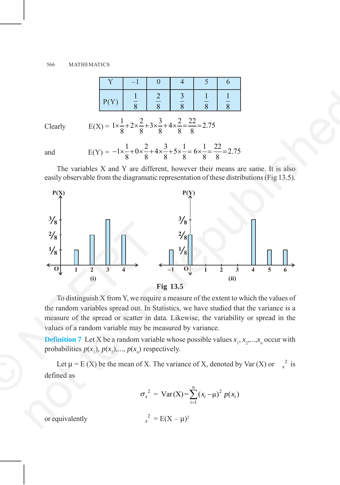| م جات |  |  |  |
|-------|--|--|--|

Clearly  $E(X) = 1 \times \frac{1}{2} + 2 \times \frac{2}{2} + 3 \times \frac{3}{2} + 4 \times \frac{2}{2} = \frac{22}{2} = 2.75$ 

| $E(Y) = -1 \times \frac{1}{8} + 0 \times \frac{2}{8} + 4 \times \frac{3}{8} + 5 \times \frac{1}{8} = 6 \times \frac{1}{8} = \frac{22}{8} = 2.75$ |  |  |  |  |
|--------------------------------------------------------------------------------------------------------------------------------------------------|--|--|--|--|
|                                                                                                                                                  |  |  |  |  |

8 8 8 8  $x - 1$  + 2 $\times -$  + 3 $\times -$  + 4 $\times -$  =  $\frac{22}{\pi}$  =

and

The variables X and Y are different, however their means are same. It is also easily observable from the diagramatic representation of these distributions (Fig 13.5).



To distinguish X from Y, we require a measure of the extent to which the values of the random variables spread out. In Statistics, we have studied that the variance is a measure of the spread or scatter in data. Likewise, the variability or spread in the values of a random variable may be measured by variance.

**Definition 7** Let X be a random variable whose possible values  $x_1, x_2, \ldots, x_n$  occur with probabilities  $p(x_1)$ ,  $p(x_2)$ ,...,  $p(x_n)$  respectively.

Let  $\mu = E(X)$  be the mean of X. The variance of X, denoted by Var (X) or  $\chi^2$  is defined as

$$
\sigma_x^2 = \text{Var}(X) = \sum_{i=1}^n (x_i - \mu)^2 p(x_i)
$$

or equivalently <sup>2</sup>

$$
x^2 = E(X - \mu)^2
$$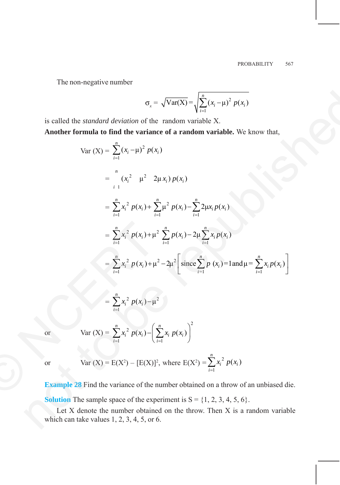The non-negative number

$$
\sigma_x = \sqrt{\text{Var}(X)} = \sqrt{\sum_{i=1}^n (x_i - \mu)^2 p(x_i)}
$$

is called the *standard deviation* of the random variable X.

**Another formula to find the variance of a random variable.** We know that,

$$
\sigma_x = \sqrt{\text{Var}(X)} = \sqrt{\sum_{i=1}^{n} (x_i - \mu)^2 p(x_i)}
$$
  
is called the *standard deviation* of the random variable X.  
**Another formula to find the variance of a random variable.** We know that,  

$$
\text{Var}(X) = \sum_{i=1}^{n} (x_i - \mu)^2 p(x_i)
$$

$$
= \sum_{i=1}^{n} (x_i^2 - \mu^2 - 2\mu x_i) p(x_i)
$$

$$
= \sum_{i=1}^{n} x_i^2 p(x_i) + \sum_{i=1}^{n} \mu^2 p(x_i) - \sum_{i=1}^{n} 2\mu x_i p(x_i)
$$

$$
= \sum_{i=1}^{n} x_i^2 p(x_i) + \mu^2 \sum_{i=1}^{n} p(x_i) - 2\mu \sum_{i=1}^{n} x_i p(x_i)
$$

$$
= \sum_{i=1}^{n} x_i^2 p(x_i) + \mu^2 - 2\mu^2 \left[ \text{since } \sum_{i=1}^{n} p(x_i) = 1 \text{ and } \mu = \sum_{i=1}^{n} x_i p(x_i) \right]
$$

$$
= \sum_{i=1}^{n} x_i^2 p(x_i) - \mu^2
$$
  
or 
$$
\text{Var}(X) = \sum_{i=1}^{n} x_i^2 p(x_i) - \left( \sum_{i=1}^{n} x_i p(x_i) \right)^2
$$

$$
\text{or } \text{Var}(X) = E(X^2) - [E(X)]^2, \text{ where } E(X^2) = \sum_{i=1}^{n} x_i^2 p(x_i)
$$
**Example 28 Find the variance of the number obtained on a throw of an unbiased die.Solution** The sample space of the experiment is S = {1, 2, 3, 4, 5, 6}.  
Let X denote the number obtained on the throw. Then X is a random variable which can take values 1, 2, 3, 4, 5, or 6.

or Var  $(X) = E(X^2) - [E(X)]^2$ , where  $E(X^2) = \sum x_i^2$ 

**Example 28** Find the variance of the number obtained on a throw of an unbiased die.

1

 $\sum_{i=1}$ 

*i*

 $(x_i)$ 

 $i$   $P(\lambda_i)$ 

 $x_i^2 p(x)$ 

**Solution** The sample space of the experiment is  $S = \{1, 2, 3, 4, 5, 6\}.$ 

Let X denote the number obtained on the throw. Then X is a random variable which can take values 1, 2, 3, 4, 5, or 6.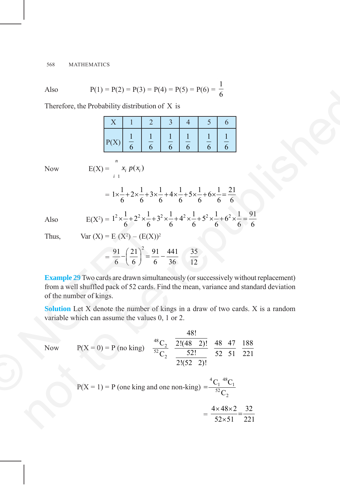Also 
$$
P(1) = P(2) = P(3) = P(4) = P(5) = P(6) = \frac{1}{6}
$$

| аізо       | $1(1) - 1(2) - 1(3) - 1(4) - 1(3) - 1(0) - 6$                                                                                                                                 |               |                |               |                |               |                                                               |                                                                                                                                                                                     |
|------------|-------------------------------------------------------------------------------------------------------------------------------------------------------------------------------|---------------|----------------|---------------|----------------|---------------|---------------------------------------------------------------|-------------------------------------------------------------------------------------------------------------------------------------------------------------------------------------|
|            | Therefore, the Probability distribution of X is                                                                                                                               |               |                |               |                |               |                                                               |                                                                                                                                                                                     |
|            | X                                                                                                                                                                             |               | $\overline{2}$ | 3             | $\overline{4}$ | 5             | 6                                                             |                                                                                                                                                                                     |
|            | P(X)                                                                                                                                                                          | $\frac{1}{6}$ | $\frac{1}{6}$  | $\frac{1}{6}$ | $\frac{1}{6}$  | $\frac{1}{6}$ | $\frac{1}{6}$                                                 |                                                                                                                                                                                     |
| <b>Now</b> | $E(X) = x_i p(x_i)$                                                                                                                                                           |               |                |               |                |               |                                                               |                                                                                                                                                                                     |
|            | = $1 \times \frac{1}{6} + 2 \times \frac{1}{6} + 3 \times \frac{1}{6} + 4 \times \frac{1}{6} + 5 \times \frac{1}{6} + 6 \times \frac{1}{6} = \frac{21}{6}$                    |               |                |               |                |               |                                                               |                                                                                                                                                                                     |
| Also       | $E(X^2) = 1^2 \times \frac{1}{6} + 2^2 \times \frac{1}{6} + 3^2 \times \frac{1}{6} + 4^2 \times \frac{1}{6} + 5^2 \times \frac{1}{6} + 6^2 \times \frac{1}{6} = \frac{91}{6}$ |               |                |               |                |               |                                                               |                                                                                                                                                                                     |
| Thus,      | Var $(X) = E(X^2) - (E(X))^2$                                                                                                                                                 |               |                |               |                |               |                                                               |                                                                                                                                                                                     |
|            | $=\frac{91}{6} - \left(\frac{21}{6}\right)^2 = \frac{91}{6} - \frac{441}{36} = \frac{35}{12}$                                                                                 |               |                |               |                |               |                                                               |                                                                                                                                                                                     |
|            | of the number of kings.                                                                                                                                                       |               |                |               |                |               |                                                               | <b>Example 29</b> Two cards are drawn simultaneously (or successively without replacement)<br>from a well shuffled pack of 52 cards. Find the mean, variance and standard deviation |
|            | variable which can assume the values 0, 1 or 2.                                                                                                                               |               |                |               |                |               |                                                               | <b>Solution</b> Let X denote the number of kings in a draw of two cards. X is a random                                                                                              |
|            |                                                                                                                                                                               |               |                |               |                |               |                                                               |                                                                                                                                                                                     |
| <b>Now</b> | $P(X = 0) = P$ (no king) $\frac{{}^{48}C_2}{{}^{52}C_2}$ $\frac{2!(48 \quad 2)!}{\cancel{52!}}$ $\frac{48 \quad 47}{52 \quad 51}$ $\frac{188}{221}$                           |               |                |               |                |               |                                                               |                                                                                                                                                                                     |
|            | $P(X = 1) = P$ (one king and one non-king) $= \frac{{}^{4}C_{1} {}^{48}C_{1}}{{}^{52}C_{1}}$                                                                                  |               |                |               |                |               |                                                               |                                                                                                                                                                                     |
|            |                                                                                                                                                                               |               |                |               |                |               | $=\frac{4 \times 48 \times 2}{52 \times 51} = \frac{32}{221}$ |                                                                                                                                                                                     |
|            |                                                                                                                                                                               |               |                |               |                |               |                                                               |                                                                                                                                                                                     |

Thus, Var (X) = E (X<sup>2</sup>) – (E(X))<sup>2</sup>  
\n
$$
= \frac{91}{6} - (\frac{21}{6})^2 = \frac{91}{6} - \frac{441}{36}
$$
\n
$$
\frac{35}{12}
$$
\nExample 29 Two cards are drawn simultaneously (or successively without  
\nfrom a well shuffled pack of 52 cards. Find the mean, variance and stand  
\nof the number of kings.  
\nSolution Let X denote the number of kings in a draw of two cards. 2  
\nvariable which can assume the values 0, 1 or 2.  
\nNow  $P(X = 0) = P$  (no king)  $\frac{^{48}C_2}{^{52}C_2} = \frac{\frac{48!}{2!(48-2)!}}{\frac{52!}{2!(52-2)!}} = \frac{48}{52} - \frac{188}{221}$   
\n
$$
P(X = 1) = P
$$
 (one king and one non-king)  $= \frac{{}^{4}C_1 {}^{48}C_1}{{}^{52}C_2}$ 

$$
P(X = 1) = P \text{ (one king and one non-king)} = \frac{{}^{4}C_{1} {}^{48}C_{1}}{{}^{52}C_{2}}
$$

$$
= \frac{4 \times 48 \times 2}{52 \times 51} = \frac{32}{221}
$$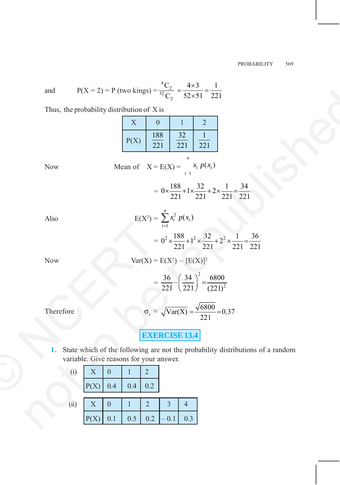#### PROBABILITY 569

and 
$$
P(X = 2) = P
$$
 (two kings)  $=$   $\frac{{}^{4}C_{2}}{{}^{52}C_{2}} = \frac{4 \times 3}{52 \times 51} = \frac{1}{221}$ 

Thus, the probability distribution of X is

| P(X) | 188<br>221 | 32<br>221 | 221 |
|------|------------|-----------|-----|
|      |            | n         |     |

Now Mean of 
$$
X = E(X) = \sum_{i=1}^{x_i} p(x_i)
$$

$$
= 0 \times \frac{188}{221} + 1 \times \frac{32}{221} + 2 \times \frac{1}{221} = \frac{34}{221}
$$

and 
$$
P(X = 2) = P
$$
 (two kings)  $\frac{32}{32\sqrt{5}} = \frac{1}{52 \times 51} = \frac{221}{221}$   
\nThus, the probability distribution of X is  
\n
$$
\frac{X}{P(X)} = \frac{188}{221} = \frac{32}{221} = \frac{1}{221}
$$
\nNow  
\nMean of  $X = E(X) = \int_{i=1}^{n} x_i p(x_i)$   
\n
$$
= 0 \times \frac{188}{221} + 1 \times \frac{32}{221} + 2 \times \frac{1}{221} = \frac{34}{221}
$$
\nAlso  
\n
$$
E(X^2) = \sum_{i=1}^{n} x_i^2 p(x_i)
$$
\n
$$
= 0^2 \times \frac{188}{221} + 1^2 \times \frac{32}{221} + 2^2 \times \frac{1}{221} = \frac{36}{221}
$$
\nNow  
\n
$$
Var(X) = E(X^2) - [E(X)]^2
$$
\n
$$
= \frac{36}{221} - (\frac{34}{221})^2 = \frac{6800}{(221)^2}
$$
\nTherefore  
\n
$$
\sigma_x = \sqrt{Var(X)} = \frac{\sqrt{6800}}{221} = 0.37
$$
\n
$$
\frac{EXERCISE 13.4}{221} = 0.37
$$
\n
$$
\frac{EXERCISE 13.4}{221} = 0.37
$$
\n(i)  $\frac{X}{Var(X)}$  0.4 0.4 0.2  
\n(ii)  $\frac{X}{Var(X)}$  0.1 2 3 4  
\n
$$
\frac{1}{P(X)}
$$
 0.1 0.5 0.2 -0.1 0.3

**1.** State which of the following are not the probability distributions of a random variable. Give reasons for your answer.

| (i)  | X          |     |     |     |        |     |
|------|------------|-----|-----|-----|--------|-----|
|      | $P(X)$ 0.4 |     | 0.4 | 0.2 |        |     |
| (ii) | X          |     |     |     |        |     |
|      | P(X)       | 0.1 | 0.5 | 0.2 | $-0.1$ | 0.3 |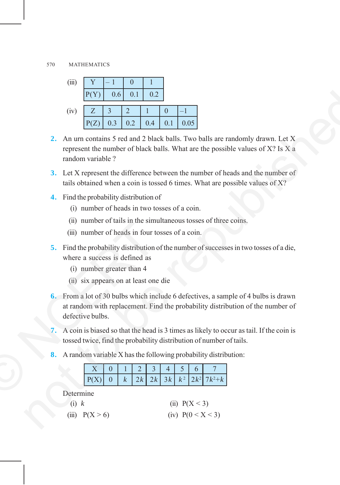| (iii) |      |     |     |     |     |      |
|-------|------|-----|-----|-----|-----|------|
|       | P(Y) | 0.6 | 0.1 | 0.2 |     |      |
| (iv)  | Z    |     |     |     |     |      |
|       | P(Z) | 0.3 | 0.2 | 0.4 | 0.1 | 0.05 |

- **2.** An urn contains 5 red and 2 black balls. Two balls are randomly drawn. Let X represent the number of black balls. What are the possible values of X? Is X a random variable ?
- **3.** Let X represent the difference between the number of heads and the number of tails obtained when a coin is tossed 6 times. What are possible values of X?
- **4.** Find the probability distribution of
	- (i) number of heads in two tosses of a coin.
	- (ii) number of tails in the simultaneous tosses of three coins.
	- (iii) number of heads in four tosses of a coin.
- **5.** Find the probability distribution of the number of successes in two tosses of a die, where a success is defined as
	- (i) number greater than 4
	- (ii) six appears on at least one die
- **6.** From a lot of 30 bulbs which include 6 defectives, a sample of 4 bulbs is drawn at random with replacement. Find the probability distribution of the number of defective bulbs. (ii) number of data in the simple to data in the simple of data in four t<br>
5. Find the probability distribution<br>
where a success is defined as<br>
(i) number greater than 4<br>
(ii) six appears on at least one<br>
6. From a lot of **P(Y)** 0.6 0.1 0.2<br>
(iv)  $\frac{2}{\left|P(X)\right|}$  3.3  $\frac{2}{\left|0,1\right|}$  1.0  $\frac{1}{\left|0,1\right|}$ <br>
2. An um contains 5 red and 2 black halls. Two balls are randomly drawn. Let X<br>
represent the mumber of black halls. What are the poss
	- **7.** A coin is biased so that the head is 3 times as likely to occur as tail. If the coin is tossed twice, find the probability distribution of number of tails.
	- **8.** A random variable X has the following probability distribution:

|           |  |   | $\sim$ | $\sim$ |                                |                   |  |
|-----------|--|---|--------|--------|--------------------------------|-------------------|--|
|           |  | K | 2k     | 2kV    | $I_{\mathcal{F}}$<br>$\cup$ IV | $\mathbf{r}$<br>∠ |  |
| Determine |  |   |        |        |                                |                   |  |

(i)  $k$  (ii)  $P(X < 3)$ (iii)  $P(X > 6)$  (iv)  $P(0 < X < 3)$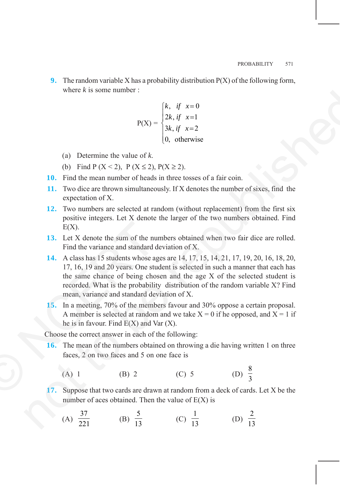$\circ$ 

**9.** The random variable X has a probability distribution P(X) of the following form, where  $k$  is some number :

$$
P(X) = \begin{cases} k, & \text{if } x = 0 \\ 2k, & \text{if } x = 1 \\ 3k, & \text{if } x = 2 \\ 0, & \text{otherwise} \end{cases}
$$

- (a) Determine the value of *k*.
- (b) Find P (X < 2), P (X \le 2), P(X \le 2).
- **10.** Find the mean number of heads in three tosses of a fair coin.
- **11.** Two dice are thrown simultaneously. If X denotes the number of sixes, find the expectation of X.
- **12.** Two numbers are selected at random (without replacement) from the first six positive integers. Let X denote the larger of the two numbers obtained. Find  $E(X)$ .
- **13.** Let X denote the sum of the numbers obtained when two fair dice are rolled. Find the variance and standard deviation of X.
- **14.** A class has 15 students whose ages are 14, 17, 15, 14, 21, 17, 19, 20, 16, 18, 20, 17, 16, 19 and 20 years. One student is selected in such a manner that each has the same chance of being chosen and the age X of the selected student is recorded. What is the probability distribution of the random variable X? Find mean, variance and standard deviation of X. E(X).<br>
13. Let X denote the sum of the numeron Find the variance and standard c<br>
14. A class has 15 students whose as<br>
17, 16, 19 and 20 years. One students whose as<br>
the same chance of being cho<br>
recorded. What is the pr where A is some nummer.<br>
P(X)  $\begin{cases} k, & \text{if } x = 0 \\ 2k, & \text{if } x = 1 \\ 3k, & \text{if } x = 2 \end{cases}$ <br>
(a) Determine the value of k.<br>
(b) Find P (X <2), P (X ≤2), P(X ≤2), P(X ≤2), P(x)<br>
10. Find the mean number of theasis in three tosses
	- **15.** In a meeting, 70% of the members favour and 30% oppose a certain proposal. A member is selected at random and we take  $X = 0$  if he opposed, and  $X = 1$  if he is in favour. Find  $E(X)$  and Var  $(X)$ .

Choose the correct answer in each of the following:

**16.** The mean of the numbers obtained on throwing a die having written 1 on three faces, 2 on two faces and 5 on one face is

(A) 1 (B) 2 (C) 5 (D) 
$$
\frac{8}{3}
$$

**17.** Suppose that two cards are drawn at random from a deck of cards. Let X be the number of aces obtained. Then the value of  $E(X)$  is

(A) 
$$
\frac{37}{221}
$$
 \t(B)  $\frac{5}{13}$  \t(C)  $\frac{1}{13}$  \t(D)  $\frac{2}{13}$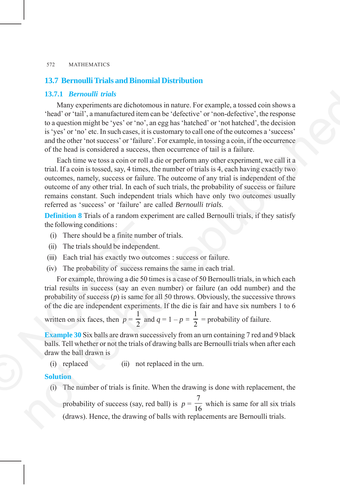# **13.7 Bernoulli Trials and Binomial Distribution**

## **13.7.1** *Bernoulli trials*

Many experiments are dichotomous in nature. For example, a tossed coin shows a 'head' or 'tail', a manufactured item can be 'defective' or 'non-defective', the response to a question might be 'yes' or 'no', an egg has 'hatched' or 'not hatched', the decision is 'yes' or 'no' etc. In such cases, it is customary to call one of the outcomes a 'success' and the other 'not success' or 'failure'. For example, in tossing a coin, if the occurrence of the head is considered a success, then occurrence of tail is a failure. 13.7.1 *Bernoulli trianls*<br>
13.7.1 *Bernoulli trials*<br>
13.7.1 *Bernoulli trials*<br>
beautic internet internet contended the decretive of the decretive of the decretive of the theorem<br>
to a question might be yest or not, an

Each time we toss a coin or roll a die or perform any other experiment, we call it a trial. If a coin is tossed, say, 4 times, the number of trials is 4, each having exactly two outcomes, namely, success or failure. The outcome of any trial is independent of the outcome of any other trial. In each of such trials, the probability of success or failure remains constant. Such independent trials which have only two outcomes usually referred as 'success' or 'failure' are called *Bernoulli trials*.

**Definition 8** Trials of a random experiment are called Bernoulli trials, if they satisfy the following conditions :

- (i) There should be a finite number of trials.
- (ii) The trials should be independent.
- (iii) Each trial has exactly two outcomes : success or failure.
- (iv) The probability of success remains the same in each trial.

For example, throwing a die 50 times is a case of 50 Bernoulli trials, in which each trial results in success (say an even number) or failure (an odd number) and the probability of success  $(p)$  is same for all 50 throws. Obviously, the successive throws of the die are independent experiments. If the die is fair and have six numbers 1 to 6 the following conditions :<br>
(i) There should be a finite number<br>
(ii) The trials should be independent<br>
(iii) Each trial has exactly two outco<br>
(iv) The probability of success rems<br>
For example, throwing a die 50 tin<br>
tri

written on six faces, then 
$$
p = \frac{1}{2}
$$
 and  $q = 1 - p = \frac{1}{2}$  = probability of failure.

**Example 30** Six balls are drawn successively from an urn containing 7 red and 9 black balls. Tell whether or not the trials of drawing balls are Bernoulli trials when after each draw the ball drawn is

(i) replaced (ii) not replaced in the urn.

#### **Solution**

(i) The number of trials is finite. When the drawing is done with replacement, the probability of success (say, red ball) is  $p =$ 7  $\frac{1}{16}$  which is same for all six trials (draws). Hence, the drawing of balls with replacements are Bernoulli trials.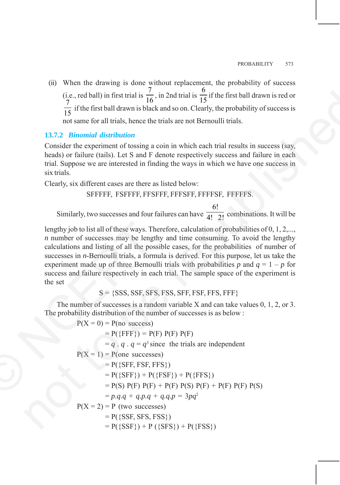(ii) When the drawing is done without replacement, the probability of success (i.e., red ball) in first trial is 7  $\frac{1}{16}$ , in 2nd trial is 6  $\frac{1}{15}$  if the first ball drawn is red or 7  $\frac{1}{15}$  if the first ball drawn is black and so on. Clearly, the probability of success is not same for all trials, hence the trials are not Bernoulli trials.

# **13.7.2** *Binomial distribution*

Consider the experiment of tossing a coin in which each trial results in success (say, heads) or failure (tails). Let S and F denote respectively success and failure in each trial. Suppose we are interested in finding the ways in which we have one success in six trials.

Clearly, six different cases are there as listed below:

SFFFFF, FSFFFF, FFSFFF, FFFSFF, FFFFSF, FFFFFS.

6!

Similarly, two successes and four failures can have  $\overline{4!}$  2! combinations. It will be

lengthy job to list all of these ways. Therefore, calculation of probabilities of 0, 1, 2,..., *n* number of successes may be lengthy and time consuming. To avoid the lengthy calculations and listing of all the possible cases, for the probabilities of number of successes in *n*-Bernoulli trials, a formula is derived. For this purpose, let us take the experiment made up of three Bernoulli trials with probabilities *p* and  $q = 1 - p$  for success and failure respectively in each trial. The sample space of the experiment is the set lengthy job to list all of these ways. Th<br> *n* number of successes may be length<br>
calculations and listing of all the poss<br>
successes in *n*-Bernoulli trials, a form<br>
experiment made up of three Bernou<br>
success and failur

 $S = \{SSS, SSF, SFS, FSS, SFF, FSF, FFS, FFF\}$ 

The number of successes is a random variable X and can take values 0, 1, 2, or 3. The probability distribution of the number of successes is as below :

 $P(X = 0) = P(no success)$  $= P(\{FFF\}) = P(F) P(F) P(F)$  $= q \cdot q \cdot q = q^3$  since the trials are independent  $P(X = 1) = P$ (one successes)  $= P(\{SFF, FSF, FFS\})$  $= P({SFF}) + P({SFSF}) + P({SFFS})$  $= P(S) P(F) P(F) + P(F) P(S) P(F) + P(F) P(F) P(S)$  $= p.q.q + q.p.q + q.q.p = 3pq^2$  $P(X = 2) = P$  (two successes)  $= P(\{SSF, SFS, FSS\})$  $= P({SSF}) + P({SFS}) + P({FSS})$ (i.e., red ball) in first trial is  $\frac{1}{16}$ , in 2nd trial is  $\frac{1}{15}$  f(the first ball drawn is red or  $\frac{1}{15}$  f(the first bill drawn is block and so on. Clearly, the probability of success is not the right bill dr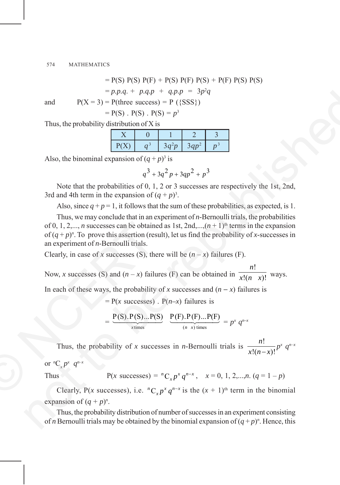$$
= P(S) P(S) P(F) + P(S) P(F) P(S) + P(F) P(S) P(S)
$$

$$
= p.p.q. + p.q.p + q.p.p = 3p2q
$$
  
and  

$$
P(X = 3) = P(\text{three success}) = P(\{SSS\})
$$

 $= P(S)$ .  $P(S)$ .  $P(S) = p<sup>3</sup>$ 

Thus, the probability distribution of X is

|  | $-10-1$ | $\sim$ 10. |  |
|--|---------|------------|--|

Also, the binominal expansion of  $(q + p)^3$  is

$$
q^3 + 3q^2p + 3qp^2 + p^3
$$

Note that the probabilities of 0, 1, 2 or 3 successes are respectively the 1st, 2nd, 3rd and 4th term in the expansion of  $(q + p)^3$ .

Also, since  $q + p = 1$ , it follows that the sum of these probabilities, as expected, is 1.

Thus, we may conclude that in an experiment of *n*-Bernoulli trials, the probabilities of 0, 1, 2,..., *n* successes can be obtained as 1st, 2nd,..., $(n + 1)$ <sup>th</sup> terms in the expansion of  $(q+p)^n$ . To prove this assertion (result), let us find the probability of *x*-successes in an experiment of *n*-Bernoulli trials. of 0, 1, 2,..., *n* successes can be obtained for  $(q + p)^n$ . To prove this assertion (result an experiment of *n*-Bernoulli trials.<br>Clearly, in case of *x* successes (S), the<br>Now, *x* successes (S) and  $(n - x)$  failt<br>In each and  $P(X = 3) = P_1P_2 + P_1P_1 = P_1P_2 = P_1P_2 = P_1P_2 = P_1P_1P_2 = P_1P_1P_2 = P_1P_1P_2$ <br>  $= P(S_1) P(S_1) P(S_1) = P(S_1) P(S_1) = P_1P_2$ <br>
Thus, the prichability distribution of Vi<br>  $\frac{X}{\sqrt{9}} = \frac{1}{\sqrt{9}} \cdot \frac{3}{3} \frac{2}{3} \frac{3}{2} \frac{1}{2}$ <br>
Also,

Clearly, in case of *x* successes (S), there will be  $(n - x)$  failures (F).

Now, *x* successes (S) and  $(n - x)$  failures (F) can be obtained in !  $!(n \; x)!$ *n*  $\overline{x!(n-x)!}$  ways.

In each of these ways, the probability of *x* successes and  $(n - x)$  failures is

 $= P(x \text{ successes})$ .  $P(n-x)$  failures is

$$
= \frac{P(S).P(S)...P(S)}{\text{x times}} \frac{P(F).P(F)...P(F)}{(n x times} = p^x q^{n-x}
$$

Thus, the probability of *x* successes in *n*-Bernoulli trials is  $\frac{n!}{n!}$  $!(n - x)!$  $\frac{n!}{x!(n-x)!}p^x q^{n-x}$ 

or 
$$
{}^nC_x p^x q^{n-x}
$$

Thus  $P(x \text{ successes}) = {}^{n}C_{x}p^{x}q^{n-x}, \quad x = 0, 1, 2,...,n. (q = 1-p)$ 

Clearly, P(*x* successes), i.e.  ${}^{n}C_{x}p^{x}q^{n-x}$  is the  $(x + 1)^{th}$  term in the binomial expansion of  $(q + p)^n$ .

Thus, the probability distribution of number of successes in an experiment consisting of *n* Bernoulli trials may be obtained by the binomial expansion of  $(q + p)^n$ . Hence, this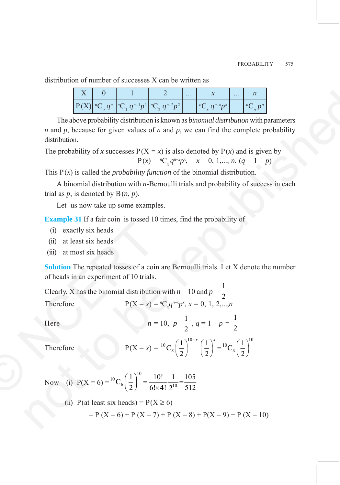#### PROBABILITY 575

distribution of number of successes X can be written as

|  |                                                                                              |              | $\cdots$ |                             | $\cdot \cdot \cdot$ |                               |
|--|----------------------------------------------------------------------------------------------|--------------|----------|-----------------------------|---------------------|-------------------------------|
|  | $\left[ P(X) \right] {}^{n}C_{0} q^{n} \left[ {}^{n}C_{1} q^{n-1} p^{1} \right] {}^{n}C_{0}$ | $a^{n-2}n^2$ |          | $a^{n-x}$<br>n <sub>1</sub> |                     | $\mathfrak{n}_{\mathfrak{l}}$ |

The above probability distribution is known as *binomial distribution* with parameters *n* and *p*, because for given values of *n* and *p*, we can find the complete probability distribution.

The probability of *x* successes  $P(X = x)$  is also denoted by  $P(x)$  and is given by  $P(x) = {}^{n}C_{x} q^{n-x} p^{x}, \quad x = 0, 1, ..., n. (q = 1-p)$ 

This  $P(x)$  is called the *probability function* of the binomial distribution.

A binomial distribution with *n*-Bernoulli trials and probability of success in each trial as  $p$ , is denoted by  $B(n, p)$ .

Let us now take up some examples.

**Example 31** If a fair coin is tossed 10 times, find the probability of

- (i) exactly six heads
- (ii) at least six heads
- (iii) at most six heads

**Solution** The repeated tosses of a coin are Bernoulli trials. Let X denote the number of heads in an experiment of 10 trials.

Clearly, X has the binomial distribution with  $n = 10$  and  $p =$ 1 2 Therefore  $P(X = x) = {}^{n}C_{x}q^{n-x}p^{x}, x = 0, 1, 2,...,n$ Here  $n = 10, p \frac{1}{2}, q = 1 - p =$ 1 2 Therefore  $P(X = x) =$  $^{10}C_{r} \left(\frac{1}{2}\right)^{10-x} \left(\frac{1}{2}\right)^{x} = ^{10}C_{r} \left(\frac{1}{2}\right)^{10}$ 2)  $\binom{2}{2}$   $\binom{x}{2}$  $x \times 1$  $x|\bar{a}|$   $|\bar{a}| = C_x$  $\left(\frac{1}{2}\right)^{10-x} \left(\frac{1}{2}\right)^{x} = {}^{10}C_x \left(\frac{1}{2}\right)^{x}$ Calculated Text and text is the set of the set of the set of the set of the set of the set of heads (ii) at most six heads<br> **Solution** The repeated tosses of a coin of heads in an experiment of 10 trials.<br>
Clearly, X has **EVALUATION**<br> **EVALUATION**<br>
The above probability destribution is known as *binomial distribution*<br>
The above probability destribution is known as *binomial distribution*<br>
and p, because for given values of *n* and p, we

Now (i) 
$$
P(X = 6) = {}^{10}C_6 \left(\frac{1}{2}\right)^{10} = \frac{10!}{6! \times 4!} \frac{1}{2^{10}} = \frac{105}{512}
$$

(ii) P(at least six heads) = P(X ≥ 6) = P (X = 6) + P (X = 7) + P (X = 8) + P(X = 9) + P (X = 10)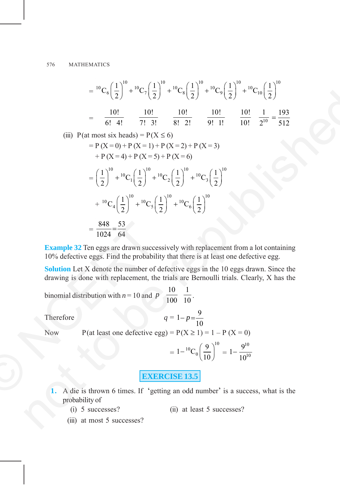$$
= {}^{10}C_6 \left(\frac{1}{2}\right)^{10} + {}^{10}C_7 \left(\frac{1}{2}\right)^{10} + {}^{10}C_8 \left(\frac{1}{2}\right)^{10} + {}^{10}C_9 \left(\frac{1}{2}\right)^{10} + {}^{10}C_{10} \left(\frac{1}{2}\right)^{10}
$$

$$
= \frac{10!}{6! \ 4!} \frac{10!}{7! \ 3!} \frac{10!}{8! \ 2!} \frac{10!}{9! \ 1!} \frac{10!}{10!} \frac{1}{2^{10}} = \frac{193}{512}
$$

# (iii) P(at most six heads) =  $P(X \le 6)$

$$
= C_6\left(\frac{1}{2}\right) + C_7\left(\frac{1}{2}\right) + C_8\left(\frac{1}{2}\right) + C_9\left(\frac{1}{2}\right) + C_{10}\left(\frac{1}{2}\right)
$$
  
\n
$$
= \frac{10!}{6! \ 4!} \frac{10!}{7! \ 3!} \frac{10!}{8! \ 2!} \frac{10!}{9! \ 1!} \frac{10!}{10!} \frac{10!}{2^{10}} = \frac{193}{512}
$$
  
\n(iii) P(at most six heads) = P(X < 6)  
\n
$$
= P(X = 0) + P(X = 1) + P(X = 2) + P(X = 3)
$$
  
\n
$$
+ P(X = 4) + P(X = 5) + P(X = 6)
$$
  
\n
$$
= \left(\frac{1}{2}\right)^{10} + {^{10}C_1}\left(\frac{1}{2}\right)^{10} + {^{10}C_2}\left(\frac{1}{2}\right)^{10} + {^{10}C_6}\left(\frac{1}{2}\right)^{10}
$$
  
\n
$$
+ {^{10}C_4}\left(\frac{1}{2}\right)^{10} + {^{10}C_5}\left(\frac{1}{2}\right)^{10} + {^{10}C_6}\left(\frac{1}{2}\right)^{10}
$$
  
\n
$$
= \frac{848}{1024} = \frac{53}{64}
$$
  
\nExample 32 Ten eggs are drawn successively with replacement from a lot containing 10% defective eggs. Find the probability that there is at least one defective egg.  
\nSolution Let X denote the number of defective eggs in the 10 eggs drawn. Since the drawing is done with replacement, the trials are Bernoulli trials. Clearly, X has the binomial distribution with  $n = 10$  and  $P = \frac{10}{100}$   
\nTherefore  $q = 1 - p = \frac{9}{10}$   
\nNow P(at least one defective egg) = P(X \ge 1) = 1 - P(X = 0)  
\n
$$
= 1 - {^{10}C_0}\left(\frac{9}{10}\right)^{10} = 1 - \frac{9^{10}}{10^{10}}
$$
  
\nEXERCISE 13.5  
\n1. A die is thrown 6 times. If 'getting an odd number' is a success, what is the probability of  
\n(i) 5 successes?\n(ii

**Example 32** Ten eggs are drawn successively with replacement from a lot containing 10% defective eggs. Find the probability that there is at least one defective egg.

**Solution** Let X denote the number of defective eggs in the 10 eggs drawn. Since the drawing is done with replacement, the trials are Bernoulli trials. Clearly, X has the

binomial distribution with *n* = 10 and  $p \begin{array}{c} 10 \\ 100 \end{array} \frac{1}{10}$ .

Therefore

$$
= \frac{848}{1024} = \frac{53}{64}
$$
  
\n**Example 32** Ten eggs are drawn successively with replacement from a 10% defective eggs. Find the probability that there is at least one defect  
\n**Solution** Let X denote the number of defective eggs in the 10 eggs dr  
\ndrawing is done with replacement, the trials are Bernoulli trials. Cle  
\nbinomial distribution with  $n = 10$  and  $p = \frac{10}{100} = \frac{1}{10}$ .  
\nTherefore  
\n
$$
q = 1 - p = \frac{9}{10}
$$
\nNow  
\n
$$
P(at least one defective egg) = P(X \ge 1) = 1 - P(X = 0)
$$
\n
$$
= 1 - {^{10}C_0} \left(\frac{9}{10}\right)^{10} = 1 - \frac{9^{10}}{10^{10}}
$$
\n**EXERCISE 13.5**  
\n1. A die is thrown 6 times. If 'getting an odd number' is a succe

$$
= 1 - {}^{10}C_0 \left(\frac{9}{10}\right)^{10} = 1 - \frac{9^{10}}{10^{10}}
$$

**EXERCISE 13.5**

=

- **1.** A die is thrown 6 times. If 'getting an odd number' is a success, what is the probability of
	- (i) 5 successes? (ii) at least 5 successes?
	- (iii) at most 5 successes?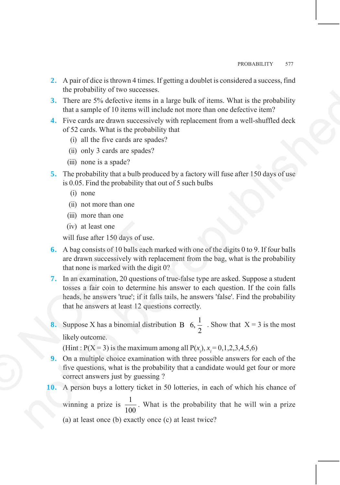#### PROBABILITY 577

- **2.** A pair of dice is thrown 4 times. If getting a doublet is considered a success, find the probability of two successes.
- **3.** There are 5% defective items in a large bulk of items. What is the probability that a sample of 10 items will include not more than one defective item?
- **4.** Five cards are drawn successively with replacement from a well-shuffled deck of 52 cards. What is the probability that
	- (i) all the five cards are spades?
	- (ii) only 3 cards are spades?
	- (iii) none is a spade?
- **5.** The probability that a bulb produced by a factory will fuse after 150 days of use is 0.05. Find the probability that out of 5 such bulbs
	- (i) none
	- (ii) not more than one
	- (iii) more than one
	- (iv) at least one

will fuse after 150 days of use.

- **6.** A bag consists of 10 balls each marked with one of the digits 0 to 9. If four balls are drawn successively with replacement from the bag, what is the probability that none is marked with the digit 0?
- **7.** In an examination, 20 questions of true-false type are asked. Suppose a student tosses a fair coin to determine his answer to each question. If the coin falls heads, he answers 'true'; if it falls tails, he answers 'false'. Find the probability that he answers at least 12 questions correctly. (iv) at least one<br>will fuse after 150 days of use.<br>6. A bag consists of 10 balls each r<br>are drawn successively with rep<br>that none is marked with the dig<br>7. In an examination, 20 questions<br>tosses a fair coin to determine<br>h
	- **8.** Suppose X has a binomial distribution B 6,  $\frac{1}{2}$  $6, \frac{1}{2}$ . Show that  $X = 3$  is the most likely outcome.

(Hint : P(X = 3) is the maximum among all P( $x_i$ ),  $x_i$  = 0,1,2,3,4,5,6)

- **9.** On a multiple choice examination with three possible answers for each of the five questions, what is the probability that a candidate would get four or more correct answers just by guessing ?
- **10.** A person buys a lottery ticket in 50 lotteries, in each of which his chance of winning a prize is  $\frac{1}{100}$ . What is the probability that he will win a prize are protocoming variety with successes.<br>
3. There are *S<sup>36</sup>*, defective items in a large bulk of items. What is the probability<br>
that is ample of 10 tiens will meldid end more than one defective item?<br>
4. Five cards are
	- (a) at least once (b) exactly once (c) at least twice?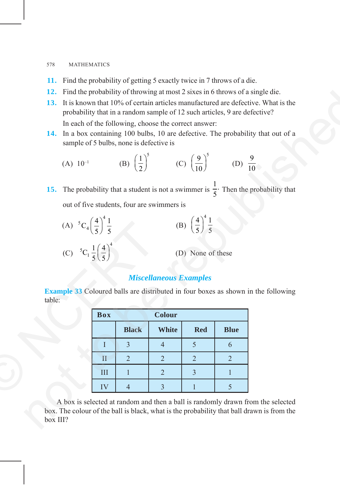- **11.** Find the probability of getting 5 exactly twice in 7 throws of a die.
- **12.** Find the probability of throwing at most 2 sixes in 6 throws of a single die.
- **13.** It is known that 10% of certain articles manufactured are defective. What is the probability that in a random sample of 12 such articles, 9 are defective? In each of the following, choose the correct answer:
- **14.** In a box containing 100 bulbs, 10 are defective. The probability that out of a sample of 5 bulbs, none is defective is

(A) 10<sup>-1</sup> (B) 
$$
\left(\frac{1}{2}\right)^5
$$
 (C)  $\left(\frac{9}{10}\right)^5$  (D)  $\frac{9}{10}$ 

(A) 
$$
{}^{5}C_{4} \left(\frac{4}{5}\right)^{4} \frac{1}{5}
$$
  
\n(B)  $\left(\frac{4}{5}\right)^{4} \frac{1}{5}$   
\n(C)  ${}^{5}C_{1} \frac{1}{5} \left(\frac{4}{5}\right)^{4}$   
\n(D) None of these

# *Miscellaneous Examples*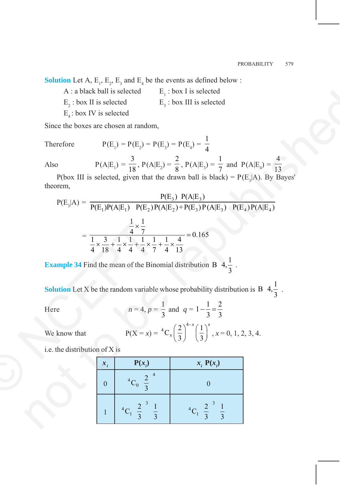$) =$ 4

**Solution** Let A,  $E_1$ ,  $E_2$ ,  $E_3$  and  $E_4$  be the events as defined below :

A : a black ball is selected  $E_1$ : box I is selected  $E_2$ : box II is selected  $E_3$  $E_3$ : box III is selected  $E_4$ : box IV is selected

Since the boxes are chosen at random,

Therefore P

Therefore 
$$
P(E_1) = P(E_2) = P(E_3) = P(E_4) = \frac{1}{4}
$$
  
Also  $P(A|E_1) = \frac{3}{18}, P(A|E_2) = \frac{2}{8}, P(A|E_3) = \frac{1}{7}$  and  $P(A|E_4)$ 

13 P(box III is selected, given that the drawn ball is black) =  $P(E_3|A)$ . By Bayes' theorem,

A: a black ball is selected  
\nE<sub>2</sub>: box II is selected  
\nE<sub>3</sub>: box II is selected  
\nE<sub>4</sub>: box IV is selected  
\nSince the boxes are chosen at random,  
\nTherefore\n
$$
P(E_1) = P(E_2) = P(E_3) = \frac{1}{4}
$$
  
\nAlso\n $P(A|E_1) = \frac{3}{18}, P(A|E_2) = \frac{2}{8}, P(A|E_2) = \frac{1}{7}$  and  $P(A|E_3) = \frac{4}{13}$   
\nP(box III is selected, given that the drawn ball is black) =  $P(E_3|A)$ . By Bayes'  
\ntheorem,  
\n $P(E_3|A) = \frac{P(E_1)P(A|E_1) P(E_2)P(A|E_2) + P(E_3)P(A|E_3) P(E_4)P(A|E_4)}{P(E_1)P(A|E_1) P(E_2)P(A|E_2) + P(E_3)P(A|E_3) P(E_4)P(A|E_4)}$   
\n $= \frac{\frac{1}{4} \times \frac{1}{7}}{1 \times \frac{3}{4} + \frac{1}{4} \times \frac{1}{4} + \frac{1}{4} \times \frac{1}{7} + \frac{1}{4} \times \frac{4}{13}}$   
\nExample 34 Find the mean of the Binomial distribution B 4,  $\frac{1}{3}$ .  
\nSolution Let X be the random variable whose probability distribution is B 4,  $\frac{1}{3}$ .  
\nHere\n $n = 4, p = \frac{1}{3}$  and  $q = 1 - \frac{1}{3} = \frac{2}{3}$   
\nWe know that\n $P(X = x) = {}^4C_x(\frac{2}{3})^{4-x}(\frac{1}{3})^x, x = 0, 1, 2, 3, 4.$   
\ni.e. the distribution of X is  
\n $\frac{x_1}{x_1} = \frac{P(x_1)}{P(x_1)} = \frac{x_1^2 - x_1^2}{x_1^2 - x_1^2}$   
\n $1 = \frac{4}{(1 - \frac{2}{3})} = \frac{3}{3}$   
\n $1 = \frac{4}{(1 - \frac{2}{3})} = \frac{3}{3}$ 

**Example 34** Find the mean of the Binomial distribution B  $4, \frac{1}{3}$  $4,\frac{1}{3}$ .

**Solution** Let X be the random variable whose probability distribution is  $B \left( 4, \frac{1}{3} \right)$  $4,\frac{1}{3}$ .

$$
n = 4, p = \frac{1}{3}
$$
 and  $q = 1 - \frac{1}{3} = \frac{2}{3}$ 

We know that 
$$
P(X = x) =
$$

 $Here$ 

$$
P(X = x) = {}^{4}C_{x} \left(\frac{2}{3}\right)^{4-x} \left(\frac{1}{3}\right)^{x}, x = 0, 1, 2, 3, 4.
$$

i.e. the distribution of X is

| $\boldsymbol{x}$ | $P(x_i)$                         | $x_i \mathbf{P}(x_i)$     |
|------------------|----------------------------------|---------------------------|
|                  | ${}^{4}C_{0}$ :<br>$\frac{1}{2}$ |                           |
|                  | 2<br>${}^4C$                     | $\overline{2}$<br>${}^4C$ |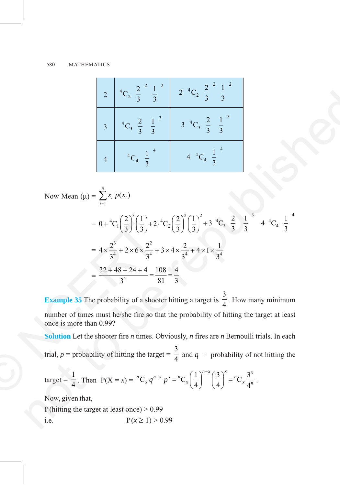| $\overline{2}$ | $\overline{2}$<br>$\begin{array}{cc} 2 & 1 \end{array}$<br><sup>4</sup> C <sub>2</sub> $\frac{2}{3}$<br>$\overline{3}$ | $\begin{array}{cc} 2 & 1 \end{array}$<br>$2^{4}C_{2} \frac{2}{3}$<br>$\overline{3}$ |
|----------------|------------------------------------------------------------------------------------------------------------------------|-------------------------------------------------------------------------------------|
| 3              | 3<br><sup>4</sup> C <sub>3</sub> $\frac{2}{3}$<br>$\overline{3}$                                                       | 3<br>$3^{4}C_{3} \frac{2}{3} \frac{1}{3}$                                           |
| 4              | 4<br>$\binom{4}{4}$<br>$\frac{1}{3}$                                                                                   | $4^{4}C_4\frac{1}{3}$                                                               |

2 
$$
{}^{4}C_{2} \frac{2}{3} \frac{1}{3}
$$
 2  ${}^{4}C_{2} \frac{2}{3} \frac{1}{3}$   
\n3  ${}^{4}C_{3} \frac{2}{3} \frac{1}{3}$  3  ${}^{4}C_{3} \frac{2}{3} \frac{1}{3}$   
\n4  ${}^{4}C_{4} \frac{1}{3}$  4  ${}^{4}C_{4} \frac{1}{3}$   
\nNow Mean (µ) =  $\sum_{i=1}^{4} x_{i} p(x_{i})$   
\n=  $0 + {}^{4}C_{1} (\frac{2}{3})^{3} (\frac{1}{3}) + 2. {}^{4}C_{2} (\frac{2}{3})^{2} (\frac{1}{3})^{2} + 3. {}^{4}C_{3} \frac{2}{3} \frac{1}{3}^{3}$  4  ${}^{4}C_{4} \frac{1}{3}$   
\n=  $4 \times \frac{2^{3}}{3^{4}} + 2 \times 6 \times \frac{2^{2}}{3^{4}} + 3 \times 4 \times \frac{2}{3^{4}} + 4 \times 1 \times \frac{1}{3^{4}}$   
\n=  $\frac{32 + 48 + 24 + 4}{3^{4}} = \frac{108}{81} = \frac{4}{3}$   
\nExample 35 The probability of a shooting a target is  $\frac{3}{4}$ . How many minimum number of times must be  
\nonce is more than 0.99?  
\nSolution Let the shortest of the point the probability of hitting the target at least once is more than 0.99?  
\nSolution Let the shortest fire so that the probability of hitting the target at least  
\ntrace is  $\frac{3}{4}$ . Then  $P(X = x) = {}^{n}C_{x} q^{n-x} p^{x} = {}^{n}C_{x} (\frac{1}{4})^{n-x} (\frac{3}{4})^{x} = {}^{n}C_{x} \frac{3^{x}}{4^{n}}$ .  
\nNow, given that,  
\nPutting the target at least once) > 0.99  
\ni.e.  $P(x \ge 1) > 0.99$ 

**Example 35** The probability of a shooter hitting a target is 3  $\frac{2}{4}$ . How many minimum number of times must he/she fire so that the probability of hitting the target at least once is more than 0.99?

**Solution** Let the shooter fire *n* times. Obviously, *n* fires are *n* Bernoulli trials. In each trial,  $p =$  probability of hitting the target  $=$ 3  $\frac{1}{4}$  and  $q =$  probability of not hitting the

target = 
$$
\frac{1}{4}
$$
. Then  $P(X = x) = {}^{n}C_{x} q^{n-x} p^{x} = {}^{n}C_{x} \left(\frac{1}{4}\right)^{n-x} \left(\frac{3}{4}\right)^{x} = {}^{n}C_{x} \frac{3^{x}}{4^{n}}$ .

Now, given that,

P(hitting the target at least once)  $> 0.99$ 

i.e.  $P(x \ge 1) > 0.99$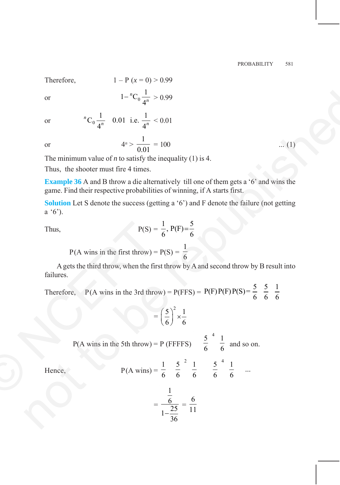Therefore,  $1 - P(x = 0) > 0.99$ 

or  $1 - {}^{n}C_0 \frac{1}{4}$ 4  $-\binom{n}{0} \frac{1}{4^n} > 0.99$ 

1

or  ${}^{n}C_{0} \frac{1}{4}$  0.01 i.e.  $\frac{1}{4}$  $4^n$  4  $^{n}C_{0}\frac{1}{4^{n}}$  0.01 i.e.  $\frac{1}{4^{n}}$  < 0.01

or  $4^n >$ 

The minimum value of *n* to satisfy the inequality (1) is 4.

Thus, the shooter must fire 4 times.

**Example 36** A and B throw a die alternatively till one of them gets a '6' and wins the game. Find their respective probabilities of winning, if A starts first.

 $\frac{1}{0.01}$  = 100 ... (1)

**Solution** Let S denote the success (getting a '6') and F denote the failure (not getting a '6').

Thus,

$$
P(S) = \frac{1}{6}, P(F) = \frac{5}{6}
$$

 $P(A \text{ wins in the first throw}) = P(S) =$ 1 6

A gets the third throw, when the first throw by A and second throw by B result into failures.

Therefore, P(A wins in the 3rd throw) = P(FFS) = P(F)P(F)P(S) =  $\frac{5}{6}$   $\frac{5}{6}$   $\frac{1}{6}$ Thus,  $P(S) = P(A \text{ wins in the first throw})$ <br>
A gets the third throw, when the firm failures.<br>
Therefore,  $P(A \text{ wins in the 3rd throw}) =$ <br>  $P(A \text{ wins in the 5th throw}) =$ <br>
Hence,  $P(A \text{ wins}) =$ not to be republished

|  | п |
|--|---|
|  |   |

 $P(A \text{ wins in the 5th throw}) = P (FFFFS)$  $5^{4}$  1 6 6  $\frac{1}{6}$   $\frac{1}{6}$  and so on.

$$
P(A \text{ wins}) = \frac{1}{6} = \frac{5}{6} = \frac{2}{6} = \frac{1}{6} = \frac{5}{6} = \frac{4}{6} = \frac{1}{6} = \frac{1}{6}
$$

$$
=\frac{\frac{1}{6}}{1-\frac{25}{36}}=\frac{6}{11}
$$

Hence,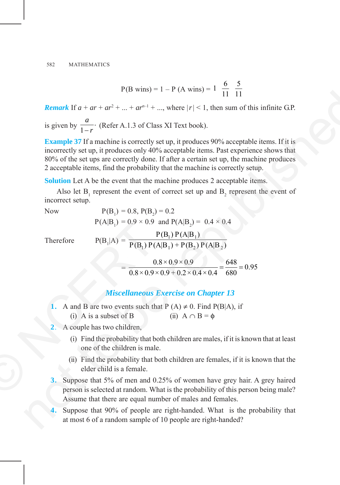$$
P(B \text{ wins}) = 1 - P (A \text{ wins}) = 1 \frac{6}{11} \frac{5}{11}
$$

*Remark* If  $a + ar + ar^2 + ... + ar^{n-1} + ...$ , where  $|r| < 1$ , then sum of this infinite G.P. is given by  $\frac{a}{1-r}$ .  $\frac{a}{-r}$  (Refer A.1.3 of Class XI Text book).

**Example 37** If a machine is correctly set up, it produces 90% acceptable items. If it is incorrectly set up, it produces only 40% acceptable items. Past experience shows that 80% of the set ups are correctly done. If after a certain set up, the machine produces 2 acceptable items, find the probability that the machine is correctly setup.

**Solution** Let A be the event that the machine produces 2 acceptable items.

Also let  $B_1$  represent the event of correct set up and  $B_2$  represent the event of incorrect setup.

 $Now$ 

*Remark* If 
$$
a + ar + ar^2 + ... + ar^{n+1} + ...
$$
, where  $|r| < 1$ , then sum of this infinite G.P.  
\nis given by  $\frac{a}{1-r}$ . (Refer A.1.3 of Class XI Text book).  
\nExample 37 If a machine is correctly set up, it produces 90% acceptable items. If it is  
\nincorrectly set up, it produces only 40% acceptable items. Past experience shows that  
\n80% of the set ups are correctly done. If after a certain set up, the machine produces  
\n2 acceptable items, find the probability that the machine is correctly setup.  
\nSolution Let A be the event that the machine produces 2 acceptable items.  
\nAlso let B<sub>1</sub> represent the event of correct set up and B<sub>2</sub> represent the event of  
\nincorrect setup.  
\nNow  
\n $P(B_1) = 0.8, P(B_2) = 0.2$   
\n $P(A|B_3) = 0.9 \times 0.9$  and  $P(A|B_2) = 0.4 \times 0.4$   
\nTherefore  
\n $P(B_1|A) = \frac{P(B_1)P(A|B_1) + P(B_2)P(A|B_1)}{P(B_1)P(A|B_1) + P(B_2)P(A|B_2)}$   
\n $= \frac{0.8 \times 0.9 \times 0.9}{0.8 \times 0.9 \times 0.9 + 0.2 \times 0.4 \times 0.4} = \frac{648}{680} = 0.95$   
\n*Miscellaneous Exercise on Chapter 13*  
\n1. A and B are two events such that  $P(A) \ne 0$ . Find  $P(B|A)$ , if  
\n(i) A is a subset of B  
\n2. A couple has two children,  
\n(i) Find the probability that both children are males, if it is known that at least  
\none of the children is male.  
\n(ii) Find the probability that both children are females, if it is known that at least  
\none of the children is male.  
\n3. Suppose that 5% of men and 0.25% of women have grey hair. A grey harder?  
\nAssume that there are equal number of males and females.  
\n4. Suppose that 90% of people are right-handed. What is the probability that  
\nat most 6 of a random sample of 10 people are right-handed?

$$
=\frac{0.8 \times 0.9 \times 0.9}{0.8 \times 0.9 \times 0.9 + 0.2 \times 0.4 \times 0.4} = \frac{648}{680} = 0.95
$$

# *Miscellaneous Exercise on Chapter 13*

- **1.** A and B are two events such that  $P(A) \neq 0$ . Find  $P(B|A)$ , if
	- (i) A is a subset of B (ii)  $A \cap B = \phi$
- **2**. A couple has two children,
	- (i) Find the probability that both children are males, if it is known that at least one of the children is male.
	- (ii) Find the probability that both children are females, if it is known that the elder child is a female.
- **3.** Suppose that 5% of men and 0.25% of women have grey hair. A grey haired person is selected at random. What is the probability of this person being male? Assume that there are equal number of males and females.
- **4.** Suppose that 90% of people are right-handed. What is the probability that at most 6 of a random sample of 10 people are right-handed?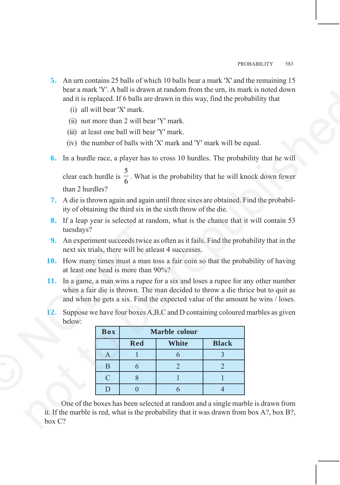- **5.** An urn contains 25 balls of which 10 balls bear a mark 'X' and the remaining 15 bear a mark 'Y'. A ball is drawn at random from the urn, its mark is noted down and it is replaced. If 6 balls are drawn in this way, find the probability that
	- (i) all will bear 'X' mark.
	- (ii) not more than 2 will bear 'Y' mark.
	- (iii) at least one ball will bear 'Y' mark.
	- (iv) the number of balls with 'X' mark and 'Y' mark will be equal.
- **6.** In a hurdle race, a player has to cross 10 hurdles. The probability that he will

- **7.** A die is thrown again and again until three sixes are obtained. Find the probability of obtaining the third six in the sixth throw of the die.
- **8.** If a leap year is selected at random, what is the chance that it will contain 53 tuesdays?
- **9.** An experiment succeeds twice as often as it fails. Find the probability that in the next six trials, there will be atleast 4 successes.
- **10.** How many times must a man toss a fair coin so that the probability of having at least one head is more than 90%?
- **11.** In a game, a man wins a rupee for a six and loses a rupee for any other number when a fair die is thrown. The man decided to throw a die thrice but to quit as and when he gets a six. Find the expected value of the amount he wins / loses.
- **12.** Suppose we have four boxes A,B,C and D containing coloured marbles as given below:

|                                                                                                                                               |               |                                             | vcar a mark -r . A van is drawn at fandom from the tim, ns mark is noted down<br>and it is replaced. If 6 balls are drawn in this way, find the probability that |                |                                                                                                                                                                                                                                                         |  |
|-----------------------------------------------------------------------------------------------------------------------------------------------|---------------|---------------------------------------------|------------------------------------------------------------------------------------------------------------------------------------------------------------------|----------------|---------------------------------------------------------------------------------------------------------------------------------------------------------------------------------------------------------------------------------------------------------|--|
| (i) all will bear 'X' mark.                                                                                                                   |               |                                             |                                                                                                                                                                  |                |                                                                                                                                                                                                                                                         |  |
|                                                                                                                                               |               | (ii) not more than 2 will bear 'Y' mark.    |                                                                                                                                                                  |                |                                                                                                                                                                                                                                                         |  |
|                                                                                                                                               |               | (iii) at least one ball will bear 'Y' mark. |                                                                                                                                                                  |                |                                                                                                                                                                                                                                                         |  |
|                                                                                                                                               |               |                                             | (iv) the number of balls with 'X' mark and 'Y' mark will be equal.                                                                                               |                |                                                                                                                                                                                                                                                         |  |
|                                                                                                                                               |               |                                             |                                                                                                                                                                  |                | 6. In a hurdle race, a player has to cross 10 hurdles. The probability that he will                                                                                                                                                                     |  |
|                                                                                                                                               |               |                                             |                                                                                                                                                                  |                | clear each hurdle is $\frac{3}{6}$ . What is the probability that he will knock down fewer                                                                                                                                                              |  |
| than 2 hurdles?                                                                                                                               |               |                                             |                                                                                                                                                                  |                |                                                                                                                                                                                                                                                         |  |
|                                                                                                                                               |               |                                             | ity of obtaining the third six in the sixth throw of the die.                                                                                                    |                | 7. A die is thrown again and again until three sixes are obtained. Find the probabil-                                                                                                                                                                   |  |
| tuesdays?                                                                                                                                     |               |                                             |                                                                                                                                                                  |                | 8. If a leap year is selected at random, what is the chance that it will contain 53                                                                                                                                                                     |  |
| 9. An experiment succeeds twice as often as it fails. Find the probability that in the<br>next six trials, there will be atleast 4 successes. |               |                                             |                                                                                                                                                                  |                |                                                                                                                                                                                                                                                         |  |
| 10. How many times must a man toss a fair coin so that the probability of having<br>at least one head is more than 90%?                       |               |                                             |                                                                                                                                                                  |                |                                                                                                                                                                                                                                                         |  |
|                                                                                                                                               |               |                                             |                                                                                                                                                                  |                | 11. In a game, a man wins a rupee for a six and loses a rupee for any other number<br>when a fair die is thrown. The man decided to throw a die thrice but to quit as<br>and when he gets a six. Find the expected value of the amount he wins / loses. |  |
| 12. Suppose we have four boxes A,B,C and D containing coloured marbles as given<br>below:                                                     |               |                                             |                                                                                                                                                                  |                |                                                                                                                                                                                                                                                         |  |
|                                                                                                                                               | <b>Box</b>    |                                             | Marble colour                                                                                                                                                    |                |                                                                                                                                                                                                                                                         |  |
|                                                                                                                                               |               | <b>Red</b>                                  | White                                                                                                                                                            | <b>Black</b>   |                                                                                                                                                                                                                                                         |  |
|                                                                                                                                               | $\mathbf{A}$  | 1                                           | 6                                                                                                                                                                | 3              |                                                                                                                                                                                                                                                         |  |
|                                                                                                                                               | B             | 6                                           | $\overline{2}$                                                                                                                                                   | $\overline{2}$ |                                                                                                                                                                                                                                                         |  |
|                                                                                                                                               | $\mathcal{C}$ | 8                                           | $\mathbf{1}$                                                                                                                                                     | $\mathbf{1}$   |                                                                                                                                                                                                                                                         |  |
|                                                                                                                                               | D             | $\overline{0}$                              | 6                                                                                                                                                                | $\overline{4}$ |                                                                                                                                                                                                                                                         |  |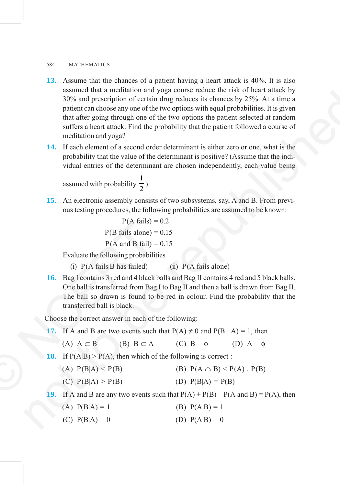- **13.** Assume that the chances of a patient having a heart attack is 40%. It is also assumed that a meditation and yoga course reduce the risk of heart attack by 30% and prescription of certain drug reduces its chances by 25%. At a time a patient can choose any one of the two options with equal probabilities. It is given that after going through one of the two options the patient selected at random suffers a heart attack. Find the probability that the patient followed a course of meditation and yoga? assume tunta a metaalism and yong couse team is to when the state in the republished and content and consequence in the content state in the particle and the republished in the particle in the specific state of the state
	- **14.** If each element of a second order determinant is either zero or one, what is the probability that the value of the determinant is positive? (Assume that the individual entries of the determinant are chosen independently, each value being

assumed with probability 1  $\frac{1}{2}$ ).

**15.** An electronic assembly consists of two subsystems, say, A and B. From previous testing procedures, the following probabilities are assumed to be known:

> $P(A \text{ fails}) = 0.2$  $P(B \text{ fails alone}) = 0.15$  $P(A \text{ and } B \text{ fail}) = 0.15$

Evaluate the following probabilities

- (i)  $P(A \text{ fails} | B \text{ has failed})$  (ii)  $P(A \text{ fails alone})$
- **16.** Bag I contains 3 red and 4 black balls and Bag II contains 4 red and 5 black balls. One ball is transferred from Bag I to Bag II and then a ball is drawn from Bag II. The ball so drawn is found to be red in colour. Find the probability that the transferred ball is black. P(A lants) –<br>
P(B fails alone) =<br>
P(A and B fail) =<br>
Evaluate the following probabilit<br>
(i) P(A fails|B has failed)<br> **16.** Bag I contains 3 red and 4 black<br>
One ball is transferred from Bag<br>
The ball so drawn is found to<br>

Choose the correct answer in each of the following:

**17.** If A and B are two events such that  $P(A) \neq 0$  and  $P(B | A) = 1$ , then

(A) 
$$
A \subset B
$$
 (B)  $B \subset A$  (C)  $B = \phi$  (D)  $A = \phi$ 

**18.** If  $P(A|B) > P(A)$ , then which of the following is correct :

| (A) $P(B A) < P(B)$ | (B) $P(A \cap B) < P(A)$ . $P(B)$ |
|---------------------|-----------------------------------|
|---------------------|-----------------------------------|

(C)  $P(B|A) > P(B)$  (D)  $P(B|A) = P(B)$ 

**19.** If A and B are any two events such that  $P(A) + P(B) - P(A \text{ and } B) = P(A)$ , then

- (A)  $P(B|A) = 1$  (B)  $P(A|B) = 1$
- (C)  $P(B|A) = 0$  (D)  $P(A|B) = 0$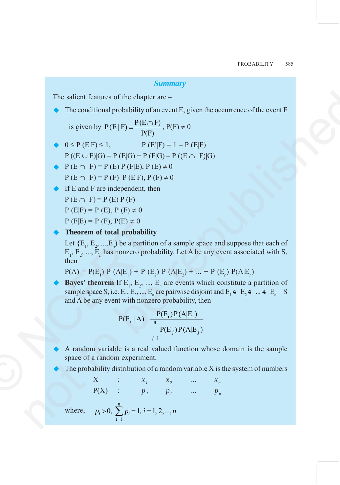# *Summary*

The salient features of the chapter are –

- The conditional probability of an event E, given the occurrence of the event F
	- is given by  $P(E | F) = \frac{P(E \cap F)}{P(F)}$ ,  $P(F) \neq 0$
- $0 \le P$  (E|F)  $\le 1$ ,  $P$  (E'|F) = 1 P (E|F)  $P ((E ∪ F) | G) = P (E | G) + P (F | G) - P ((E ∩ F) | G)$
- $\rightarrow$  P (E  $\cap$  F) = P (E) P (F|E), P (E)  $\neq$  0  $P(E \cap F) = P(F) P(E|F), P(F) \neq 0$
- If E and F are independent, then  $P(E \cap F) = P(E) P(F)$  $P(E|F) = P(E), P(F) \neq 0$ 
	- $P (F|E) = P (F), P(E) \neq 0$
- **Theorem of total probability**

Let  $\{E_1, E_2, ..., E_n\}$  be a partition of a sample space and suppose that each of  $E_1, E_2, ..., E_n$  has nonzero probability. Let A be any event associated with S, then

$$
P(A) = P(E_1) P (A|E_1) + P (E_2) P (A|E_2) + ... + P (E_n) P(A|E_n)
$$

Bayes' theorem If  $E_1, E_2, ..., E_n$  are events which constitute a partition of sample space S, i.e.  $E_1, E_2, ..., E_n$  are pairwise disjoint and  $E_1 4 E_2 4 ... 4 E_n = S$ and A be any event with nonzero probability, then P (F|E) – P (F), P(E)  $\neq$  0<br>
Theorem of total probability<br>
Let {E<sub>1</sub>, E<sub>2</sub>, ..., E<sub>n</sub> has nonzero proba<br>
then<br>
P(A) = P(E<sub>1</sub>) P (A|E<sub>1</sub>) + P (E<sub>2</sub><br>
Bayes' theorem If E<sub>1</sub>, E<sub>2</sub>, ..., I<br>
sample space S, i.e. E<sub>1</sub>, E<sub>2</sub>, The salient features of the chapter are-<br>
• The conditional probability of an event F, given the occurrence of the event F<br>
is given by  $P(F_1|F) = \frac{P(E \cap F)}{P(F)}$ ,  $P(F) \ne 0$ <br>  $0 \le P(E \cap S) = P(E \cap T)$   $P(E \cap T) = P(E \cap T)$ <br>  $P(E \cap F) = P(E)P$ 

$$
P(E_i | A) \frac{P(E_i)P(A|E_i)}{P(E_j)P(A|E_j)}
$$

- A random variable is a real valued function whose domain is the sample space of a random experiment.
- The probability distribution of a random variable X is the system of numbers

$$
\begin{array}{ccccccccc}\nX & : & x_1 & x_2 & \dots & x_n \\
P(X) & : & p_1 & p_2 & \dots & p_n\n\end{array}
$$

where, 1  $0, \sum_{i} p_i = 1, i = 1, 2, \ldots,$ *n*  $i<sub>i</sub>$  i<sub>i</sub>  $\angle$   $\cup$   $P_i$ *i*  $p_i > 0$ ,  $\sum p_i = 1$ ,  $i = 1, 2, ..., n$  $> 0, \sum_{i=1}^{\infty} p_i = 1, i =$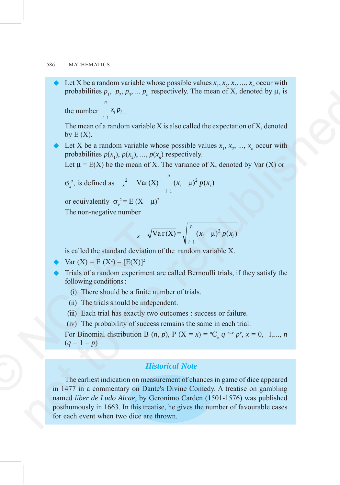External X be a random variable whose possible values  $x_1, x_2, x_3, \ldots, x_n$  occur with probabilities  $p_1, p_2, p_3, \dots p_n$  respectively. The mean of X, denoted by  $\mu$ , is *n*

the number 1  $x_i p_i$ . *i*

The mean of a random variable X is also called the expectation of X, denoted by  $E(X)$ .

◆ Let *X* be a random variable whose possible values  $x_1, x_2, ..., x_n$  occur with probabilities  $p(x_1)$ ,  $p(x_2)$ , ...,  $p(x_n)$  respectively.

Let  $\mu$  = E(X) be the mean of X. The variance of X, denoted by Var (X) or

$$
\sigma_x^2
$$
, is defined as  $\int_x^2 \text{Var}(X) = \int_{i=1}^n (x_i - \mu)^2 p(x_i)$ 

or equivalently  $\sigma_x^2 = E (X - \mu)^2$ The non-negative number

$$
\int \operatorname{Var}(X) = \sqrt{\frac{n}{n} (x_i - \mu)^2 p(x_i)}
$$

is called the standard deviation of the random variable X.

• Var  $(X) = E(X^2) - [E(X)]^2$ 

 Trials of a random experiment are called Bernoulli trials, if they satisfy the following conditions :

- (i) There should be a finite number of trials.
- (ii) The trials should be independent.
- (iii) Each trial has exactly two outcomes : success or failure.
- (iv) The probability of success remains the same in each trial.

For Binomial distribution B  $(n, p)$ , P  $(X = x) = {}^{n}C_{x} q^{n-x} p^{x}$ ,  $x = 0, 1,..., n$  $(q = 1 - p)$ 

# *Historical Note*

The earliest indication on measurement of chances in game of dice appeared in 1477 in a commentary on Dante's Divine Comedy. A treatise on gambling named *liber de Ludo Alcae*, by Geronimo Carden (1501-1576) was published posthumously in 1663. In this treatise, he gives the number of favourable cases for each event when two dice are thrown. x  $\sqrt{V}$ <br>
is called the standard deviation<br>
Var (X) = E (X<sup>2</sup>) – [E(X)]<sup>2</sup><br>
Trials of a random experiment<br>
following conditions :<br>
(i) There should be a finite m<br>
(ii) The trials should be indep<br>
(iii) Each trial has ex prohabities  $p_1, p_1, p_2, \dots p_r$ , respectively. The mean of X, denoted by  $\mu$ , is<br>the number  $\int_{-1}^{1} x_i p_i$ .<br>The mean of a random variable X is also called the expectation of X, denoted<br>by F. (X).<br>Let X be a random variab